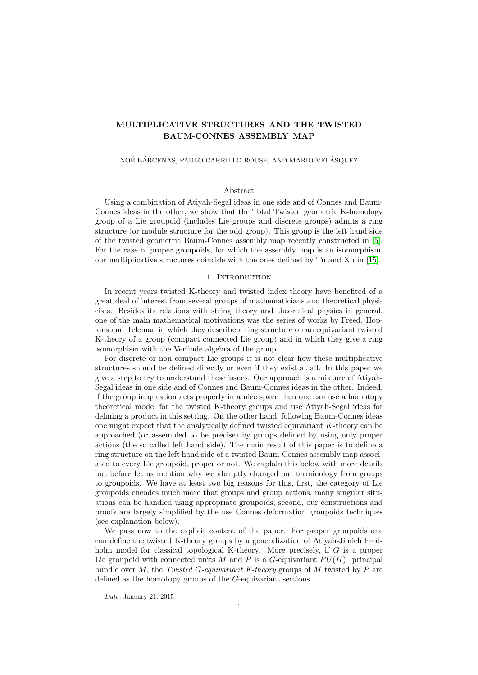# MULTIPLICATIVE STRUCTURES AND THE TWISTED BAUM-CONNES ASSEMBLY MAP

#### NOÉ BÁRCENAS, PAULO CARRILLO ROUSE, AND MARIO VELÁSQUEZ

## Abstract

Using a combination of Atiyah-Segal ideas in one side and of Connes and Baum-Connes ideas in the other, we show that the Total Twisted geometric K-homology group of a Lie groupoid (includes Lie groups and discrete groups) admits a ring structure (or module structure for the odd group). This group is the left hand side of the twisted geometric Baum-Connes assembly map recently constructed in [\[5\]](#page-22-0). For the case of proper groupoids, for which the assembly map is an isomorphism, our multiplicative structures coincide with the ones defined by Tu and Xu in [\[15\]](#page-22-1).

### 1. INTRODUCTION

In recent years twisted K-theory and twisted index theory have benefited of a great deal of interest from several groups of mathematicians and theoretical physicists. Besides its relations with string theory and theoretical physics in general, one of the main mathematical motivations was the series of works by Freed, Hopkins and Teleman in which they describe a ring structure on an equivariant twisted K-theory of a group (compact connected Lie group) and in which they give a ring isomorphism with the Verlinde algebra of the group.

For discrete or non compact Lie groups it is not clear how these multiplicative structures should be defined directly or even if they exist at all. In this paper we give a step to try to understand these issues. Our approach is a mixture of Atiyah-Segal ideas in one side and of Connes and Baum-Connes ideas in the other. Indeed, if the group in question acts properly in a nice space then one can use a homotopy theoretical model for the twisted K-theory groups and use Atiyah-Segal ideas for defining a product in this setting. On the other hand, following Baum-Connes ideas one might expect that the analytically defined twisted equivariant K-theory can be approached (or assembled to be precise) by groups defined by using only proper actions (the so called left hand side). The main result of this paper is to define a ring structure on the left hand side of a twisted Baum-Connes assembly map associated to every Lie groupoid, proper or not. We explain this below with more details but before let us mention why we abruptly changed our terminology from groups to groupoids. We have at least two big reasons for this, first, the category of Lie groupoids encodes much more that groups and group actions, many singular situations can be handled using appropriate groupoids; second, our constructions and proofs are largely simplified by the use Connes deformation groupoids techniques (see explanation below).

We pass now to the explicit content of the paper. For proper groupoids one can define the twisted K-theory groups by a generalization of Atiyah-Jänich Fredholm model for classical topological K-theory. More precisely, if G is a proper Lie groupoid with connected units M and P is a G-equivariant  $PU(H)$ –principal bundle over M, the Twisted G-equivariant K-theory groups of M twisted by P are defined as the homotopy groups of the G-equivariant sections

Date: January 21, 2015.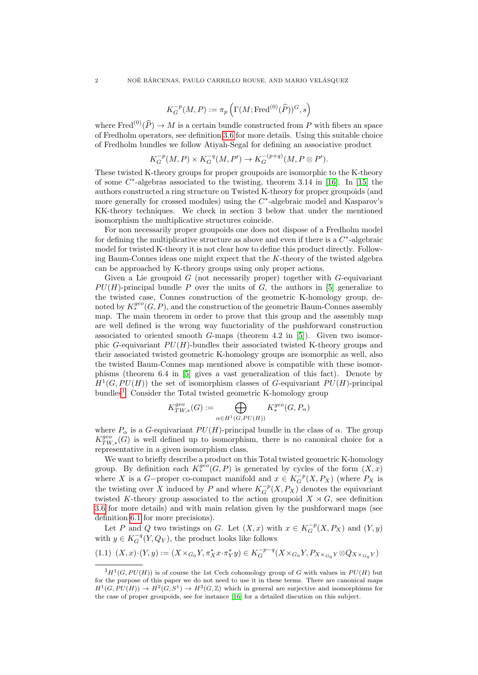$$
K^{-p}_G(M,P):=\pi_p\left(\Gamma(M;\textnormal{Fred}^{(0)}(\widehat P))^G,s\right)
$$

where  $\text{Fred}^{(0)}(\widehat{P}) \to M$  is a certain bundle constructed from P with fibers an space of Fredholm operators, see definition [3.6](#page-9-0) for more details. Using this suitable choice of Fredholm bundles we follow Atiyah-Segal for defining an associative product

$$
K_G^{-p}(M, P) \times K_G^{-q}(M, P') \to K_G^{-(p+q)}(M, P \otimes P').
$$

These twisted K-theory groups for proper groupoids are isomorphic to the K-theory of some  $C^*$ -algebras associated to the twisting, theorem 3.14 in [\[16\]](#page-22-2). In [\[15\]](#page-22-1) the authors constructed a ring structure on Twisted K-theory for proper groupoids (and more generally for crossed modules) using the  $C^*$ -algebraic model and Kasparov's KK-theory techniques. We check in section 3 below that under the mentioned isomorphism the multiplicative structures coincide.

For non necessarily proper groupoids one does not dispose of a Fredholm model for defining the multiplicative structure as above and even if there is a  $C^*$ -algebraic model for twisted K-theory it is not clear how to define this product directly. Following Baum-Connes ideas one might expect that the K-theory of the twisted algebra can be approached by K-theory groups using only proper actions.

Given a Lie groupoid  $G$  (not necessarily proper) together with  $G$ -equivariant  $PU(H)$ -principal bundle P over the units of G, the authors in [\[5\]](#page-22-0) generalize to the twisted case, Connes construction of the geometric K-homology group, denoted by  $K^{geo}_*(G, P)$ , and the construction of the geometric Baum-Connes assembly map. The main theorem in order to prove that this group and the assembly map are well defined is the wrong way functoriality of the pushforward construction associated to oriented smooth  $G$ -maps (theorem 4.2 in [\[5\]](#page-22-0)). Given two isomorphic G-equivariant  $PU(H)$ -bundles their associated twisted K-theory groups and their associated twisted geometric K-homology groups are isomorphic as well, also the twisted Baum-Connes map mentioned above is compatible with these isomorphisms (theorem 6.4 in [\[5\]](#page-22-0) gives a vast generalization of this fact). Denote by  $H<sup>1</sup>(G, PU(H))$  the set of isomorphism classes of G-equivariant  $PU(H)$ -principal bundles<sup>[1](#page-1-0)</sup>. Consider the Total twisted geometric K-homology group

$$
K_{TW,*}^{geo}(G) := \bigoplus_{\alpha \in H^1(G, PU(H))} K_*^{geo}(G, P_{\alpha})
$$

where  $P_{\alpha}$  is a G-equivariant  $PU(H)$ -principal bundle in the class of  $\alpha$ . The group  $K_{TW,*}^{geo}(G)$  is well defined up to isomorphism, there is no canonical choice for a representative in a given isomorphism class.

We want to briefly describe a product on this Total twisted geometric K-homology group. By definition each  $K^{geo}_*(G, P)$  is generated by cycles of the form  $(X, x)$ where X is a G-proper co-compact manifold and  $x \in K_G^{-p}(X, P_X)$  (where  $P_X$  is the twisting over X induced by P and where  $K_G^{-p}(X, P_X)$  denotes the equivariant twisted K-theory group associated to the action groupoid  $X \rtimes G$ , see definition [3.6](#page-9-0) for more details) and with main relation given by the pushforward maps (see definition [6.1](#page-17-0) for more precisions).

Let P and Q two twistings on G. Let  $(X, x)$  with  $x \in K_G^{-p}(X, P_X)$  and  $(Y, y)$ with  $y \in K_G^{-q}(Y, Q_Y)$ , the product looks like follows

$$
(1.1)\;\; (X,x)\cdot (Y,y):=(X\times_{G_0}Y,\pi_X^*x\cdot \pi_Y^*y)\in K_G^{-p-q}(X\times_{G_0}Y,P_{X\times_{G_0}Y}\otimes Q_{X\times_{G_0}Y})
$$

<span id="page-1-0"></span> ${}^{1}H^{1}(G, PU(H))$  is of course the 1st Cech cohomology group of G with values in  $PU(H)$  but for the purpose of this paper we do not need to use it in these terms. There are canonical maps  $H^1(G, PU(H)) \to H^2(G, S^1) \to H^3(G, \mathbb{Z})$  which in general are surjective and isomorphisms for the case of proper groupoids, see for instance [\[16\]](#page-22-2) for a detailed discution on this subject.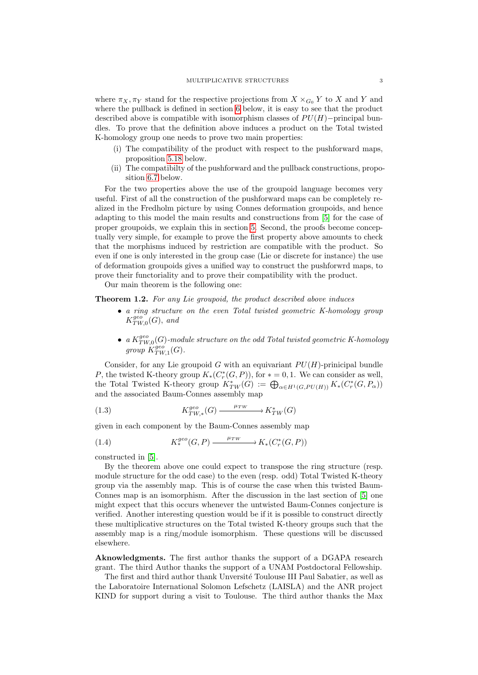where  $\pi_X, \pi_Y$  stand for the respective projections from  $X \times_{G_0} Y$  to X and Y and where the pullback is defined in section [6](#page-17-1) below, it is easy to see that the product described above is compatible with isomorphism classes of  $PU(H)$ –principal bundles. To prove that the definition above induces a product on the Total twisted K-homology group one needs to prove two main properties:

- (i) The compatibility of the product with respect to the pushforward maps, proposition [5.18](#page-16-0) below.
- (ii) The compatibilty of the pushforward and the pullback constructions, proposition [6.7](#page-18-0) below.

For the two properties above the use of the groupoid language becomes very useful. First of all the construction of the pushforward maps can be completely realized in the Fredholm picture by using Connes deformation groupoids, and hence adapting to this model the main results and constructions from [\[5\]](#page-22-0) for the case of proper groupoids, we explain this in section [5.](#page-14-0) Second, the proofs become conceptually very simple, for example to prove the first property above amounts to check that the morphisms induced by restriction are compatible with the product. So even if one is only interested in the group case (Lie or discrete for instance) the use of deformation groupoids gives a unified way to construct the pushforwrd maps, to prove their functoriality and to prove their compatibility with the product.

Our main theorem is the following one:

Theorem 1.2. For any Lie groupoid, the product described above induces

- a ring structure on the even Total twisted geometric K-homology group  $K^{geo}_{TW,0}(G)$ , and
- a  $K_{TW,0}^{geo}(G)$ -module structure on the odd Total twisted geometric K-homology group  $K^{geo}_{TW,1}(G)$ .

Consider, for any Lie groupoid G with an equivariant  $PU(H)$ -prinicipal bundle P, the twisted K-theory group  $K_*(C_r^*(G, P))$ , for  $* = 0, 1$ . We can consider as well, the Total Twisted K-theory group  $K^*_{TW}(G) := \bigoplus_{\alpha \in H^1(G, PU(H))} K_* (C^*_{r}(G, P_{\alpha}))$ and the associated Baum-Connes assembly map

(1.3) 
$$
K_{TW,*}^{geo}(G) \xrightarrow{\mu_{TW}} K_{TW}^*(G)
$$

given in each component by the Baum-Connes assembly map

(1.4) 
$$
K^{geo}_{*}(G, P) \xrightarrow{\mu_{TW}} K_{*}(C_{r}^{*}(G, P))
$$

constructed in [\[5\]](#page-22-0).

By the theorem above one could expect to transpose the ring structure (resp. module structure for the odd case) to the even (resp. odd) Total Twisted K-theory group via the assembly map. This is of course the case when this twisted Baum-Connes map is an isomorphism. After the discussion in the last section of [\[5\]](#page-22-0) one might expect that this occurs whenever the untwisted Baum-Connes conjecture is verified. Another interesting question would be if it is possible to construct directly these multiplicative structures on the Total twisted K-theory groups such that the assembly map is a ring/module isomorphism. These questions will be discussed elsewhere.

Aknowledgments. The first author thanks the support of a DGAPA research grant. The third Author thanks the support of a UNAM Postdoctoral Fellowship.

The first and third author thank Unversité Toulouse III Paul Sabatier, as well as the Laboratoire International Solomon Lefschetz (LAISLA) and the ANR project KIND for support during a visit to Toulouse. The third author thanks the Max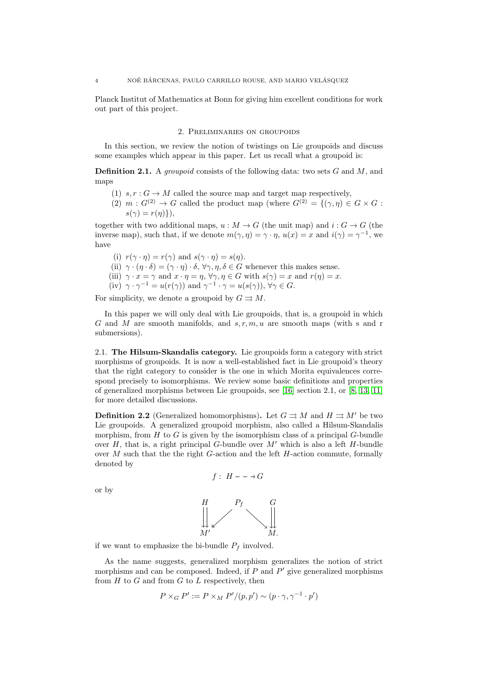Planck Institut of Mathematics at Bonn for giving him excellent conditions for work out part of this project.

#### 2. Preliminaries on groupoids

In this section, we review the notion of twistings on Lie groupoids and discuss some examples which appear in this paper. Let us recall what a groupoid is:

**Definition 2.1.** A *groupoid* consists of the following data: two sets  $G$  and  $M$ , and maps

- (1)  $s, r : G \to M$  called the source map and target map respectively,
- (2)  $m: G^{(2)} \to G$  called the product map (where  $G^{(2)} = \{(\gamma, \eta) \in G \times G :$  $s(\gamma) = r(\eta)\},$

together with two additional maps,  $u : M \to G$  (the unit map) and  $i : G \to G$  (the inverse map), such that, if we denote  $m(\gamma, \eta) = \gamma \cdot \eta$ ,  $u(x) = x$  and  $i(\gamma) = \gamma^{-1}$ , we have

(i)  $r(\gamma \cdot \eta) = r(\gamma)$  and  $s(\gamma \cdot \eta) = s(\eta)$ . (ii)  $\gamma \cdot (\eta \cdot \delta) = (\gamma \cdot \eta) \cdot \delta, \forall \gamma, \eta, \delta \in G$  whenever this makes sense. (iii)  $\gamma \cdot x = \gamma$  and  $x \cdot \eta = \eta$ ,  $\forall \gamma, \eta \in G$  with  $s(\gamma) = x$  and  $r(\eta) = x$ . (iv)  $\gamma \cdot \gamma^{-1} = u(r(\gamma))$  and  $\gamma^{-1} \cdot \gamma = u(s(\gamma))$ ,  $\forall \gamma \in G$ .

For simplicity, we denote a groupoid by  $G \rightrightarrows M$ .

In this paper we will only deal with Lie groupoids, that is, a groupoid in which G and M are smooth manifolds, and  $s, r, m, u$  are smooth maps (with s and r submersions).

2.1. The Hilsum-Skandalis category. Lie groupoids form a category with strict morphisms of groupoids. It is now a well-established fact in Lie groupoid's theory that the right category to consider is the one in which Morita equivalences correspond precisely to isomorphisms. We review some basic definitions and properties of generalized morphisms between Lie groupoids, see [\[16\]](#page-22-2) section 2.1, or [\[8,](#page-22-3) [13,](#page-22-4) [11\]](#page-22-5) for more detailed discussions.

**Definition 2.2** (Generalized homomorphisms). Let  $G \rightrightarrows M$  and  $H \rightrightarrows M'$  be two Lie groupoids. A generalized groupoid morphism, also called a Hilsum-Skandalis morphism, from  $H$  to  $G$  is given by the isomorphism class of a principal  $G$ -bundle over  $H$ , that is, a right principal  $G$ -bundle over  $M'$  which is also a left  $H$ -bundle over  $M$  such that the the right  $G$ -action and the left  $H$ -action commute, formally denoted by

$$
f: H -- \rightarrow G
$$

or by



if we want to emphasize the bi-bundle  $P_f$  involved.

As the name suggests, generalized morphism generalizes the notion of strict morphisms and can be composed. Indeed, if  $P$  and  $P'$  give generalized morphisms from  $H$  to  $G$  and from  $G$  to  $L$  respectively, then

$$
P \times_G P' := P \times_M P'/(p, p') \sim (p \cdot \gamma, \gamma^{-1} \cdot p')
$$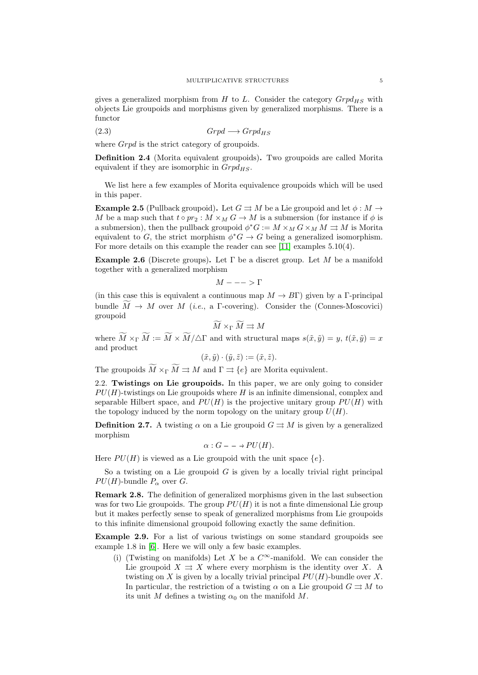gives a generalized morphism from H to L. Consider the category  $Grpd_{HS}$  with objects Lie groupoids and morphisms given by generalized morphisms. There is a functor

$$
(2.3) \t\t Grpd \longrightarrow Grpd_{HS}
$$

where *Grpd* is the strict category of groupoids.

Definition 2.4 (Morita equivalent groupoids). Two groupoids are called Morita equivalent if they are isomorphic in  $Grpd_{HS}$ .

We list here a few examples of Morita equivalence groupoids which will be used in this paper.

**Example 2.5** (Pullback groupoid). Let  $G \rightrightarrows M$  be a Lie groupoid and let  $\phi : M \to$ M be a map such that  $t \circ pr_2 : M \times_M G \to M$  is a submersion (for instance if  $\phi$  is a submersion), then the pullback groupoid  $\phi^*G := M \times_M G \times_M M \rightrightarrows M$  is Morita equivalent to G, the strict morphism  $\phi^*G \to G$  being a generalized isomorphism. For more details on this example the reader can see [\[11\]](#page-22-5) examples 5.10(4).

**Example 2.6** (Discrete groups). Let  $\Gamma$  be a discret group. Let M be a manifold together with a generalized morphism

 $M --- \geq \Gamma$ 

(in this case this is equivalent a continuous map  $M \to B\Gamma$ ) given by a Γ-principal bundle  $\widetilde{M} \to M$  over M (i.e., a Γ-covering). Consider the (Connes-Moscovici) groupoid

$$
\widetilde{M} \times_{\Gamma} \widetilde{M} \rightrightarrows M
$$

where  $M \times_{\Gamma} M := M \times M / \Delta \Gamma$  and with structural maps  $s(\tilde{x}, \tilde{y}) = y$ ,  $t(\tilde{x}, \tilde{y}) = x$ and product

$$
(\tilde{x}, \tilde{y}) \cdot (\tilde{y}, \tilde{z}) := (\tilde{x}, \tilde{z}).
$$

The groupoids  $\widetilde{M} \times_{\Gamma} \widetilde{M} \rightrightarrows M$  and  $\Gamma \rightrightarrows \{e\}$  are Morita equivalent.

2.2. Twistings on Lie groupoids. In this paper, we are only going to consider  $PU(H)$ -twistings on Lie groupoids where H is an infinite dimensional, complex and separable Hilbert space, and  $PU(H)$  is the projective unitary group  $PU(H)$  with the topology induced by the norm topology on the unitary group  $U(H)$ .

**Definition 2.7.** A twisting  $\alpha$  on a Lie groupoid  $G \rightrightarrows M$  is given by a generalized morphism

$$
\alpha: G - \to PU(H).
$$

Here  $PU(H)$  is viewed as a Lie groupoid with the unit space  $\{e\}$ .

So a twisting on a Lie groupoid  $G$  is given by a locally trivial right principal  $PU(H)$ -bundle  $P_{\alpha}$  over G.

Remark 2.8. The definition of generalized morphisms given in the last subsection was for two Lie groupoids. The group  $PU(H)$  it is not a finite dimensional Lie group but it makes perfectly sense to speak of generalized morphisms from Lie groupoids to this infinite dimensional groupoid following exactly the same definition.

<span id="page-4-0"></span>Example 2.9. For a list of various twistings on some standard groupoids see example 1.8 in [\[6\]](#page-22-6). Here we will only a few basic examples.

(i) (Twisting on manifolds) Let X be a  $C^{\infty}$ -manifold. We can consider the Lie groupoid  $X \rightrightarrows X$  where every morphism is the identity over X. A twisting on X is given by a locally trivial principal  $PU(H)$ -bundle over X. In particular, the restriction of a twisting  $\alpha$  on a Lie groupoid  $G \rightrightarrows M$  to its unit M defines a twisting  $\alpha_0$  on the manifold M.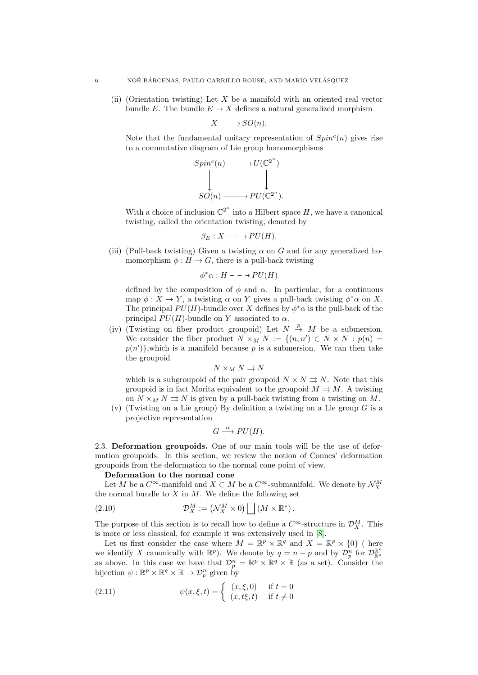(ii) (Orientation twisting) Let  $X$  be a manifold with an oriented real vector bundle E. The bundle  $E \to X$  defines a natural generalized morphism

$$
X - - \to SO(n).
$$

Note that the fundamental unitary representation of  $Spin<sup>c</sup>(n)$  gives rise to a commutative diagram of Lie group homomorphisms

$$
Spinc(n) \longrightarrow U(\mathbb{C}^{2^n})
$$
  
\n
$$
\downarrow \qquad \qquad \downarrow
$$
  
\n
$$
SO(n) \longrightarrow PU(\mathbb{C}^{2^n}).
$$

With a choice of inclusion  $\mathbb{C}^{2^n}$  into a Hilbert space H, we have a canonical twisting, called the orientation twisting, denoted by

$$
\beta_E: X - \to PU(H).
$$

(iii) (Pull-back twisting) Given a twisting  $\alpha$  on G and for any generalized homomorphism  $\phi : H \to G$ , there is a pull-back twisting

$$
\phi^* \alpha : H - \rightarrow PU(H)
$$

defined by the composition of  $\phi$  and  $\alpha$ . In particular, for a continuous map  $\phi: X \to Y$ , a twisting  $\alpha$  on Y gives a pull-back twisting  $\phi^* \alpha$  on X. The principal  $PU(H)$ -bundle over X defines by  $\phi^* \alpha$  is the pull-back of the principal  $PU(H)$ -bundle on Y associated to  $\alpha$ .

(iv) (Twisting on fiber product groupoid) Let  $N \stackrel{p}{\rightarrow} M$  be a submersion. We consider the fiber product  $N \times_M N := \{(n, n') \in N \times N : p(n) =$  $p(n')\}$ , which is a manifold because p is a submersion. We can then take the groupoid

$$
N \times_M N \rightrightarrows N
$$

which is a subgroupoid of the pair groupoid  $N \times N \rightrightarrows N$ . Note that this groupoid is in fact Morita equivalent to the groupoid  $M \rightrightarrows M$ . A twisting on  $N \times_M N \rightrightarrows N$  is given by a pull-back twisting from a twisting on M.

(v) (Twisting on a Lie group) By definition a twisting on a Lie group  $G$  is a projective representation

$$
G \stackrel{\alpha}{\longrightarrow} PU(H).
$$

<span id="page-5-1"></span>2.3. Deformation groupoids. One of our main tools will be the use of deformation groupoids. In this section, we review the notion of Connes' deformation groupoids from the deformation to the normal cone point of view.

#### Deformation to the normal cone

Let  $M$  be a  $C^{\infty}$ -manifold and  $X \subset M$  be a  $C^{\infty}$ -submanifold. We denote by  $\mathcal{N}_{X}^{M}$ the normal bundle to  $X$  in  $M$ . We define the following set

(2.10) 
$$
\mathcal{D}_X^M := \left(\mathcal{N}_X^M \times 0\right) \bigsqcup \left(M \times \mathbb{R}^*\right).
$$

The purpose of this section is to recall how to define a  $C^{\infty}$ -structure in  $\mathcal{D}_{X}^{M}$ . This is more or less classical, for example it was extensively used in [\[8\]](#page-22-3).

Let us first consider the case where  $M = \mathbb{R}^p \times \mathbb{R}^q$  and  $X = \mathbb{R}^p \times \{0\}$  (here we identify X canonically with  $\mathbb{R}^p$ ). We denote by  $q = n - p$  and by  $\mathcal{D}_p^n$  for  $\mathcal{D}_{\mathbb{R}^p}^{\mathbb{R}^n}$ as above. In this case we have that  $\mathcal{D}_{p}^{n} = \mathbb{R}^{p} \times \mathbb{R}^{q} \times \mathbb{R}$  (as a set). Consider the bijection  $\psi : \mathbb{R}^p \times \mathbb{R}^q \times \mathbb{R} \to \mathcal{D}_p^n$  given by

(2.11) 
$$
\psi(x,\xi,t) = \begin{cases} (x,\xi,0) & \text{if } t = 0\\ (x,t\xi,t) & \text{if } t \neq 0 \end{cases}
$$

<span id="page-5-0"></span>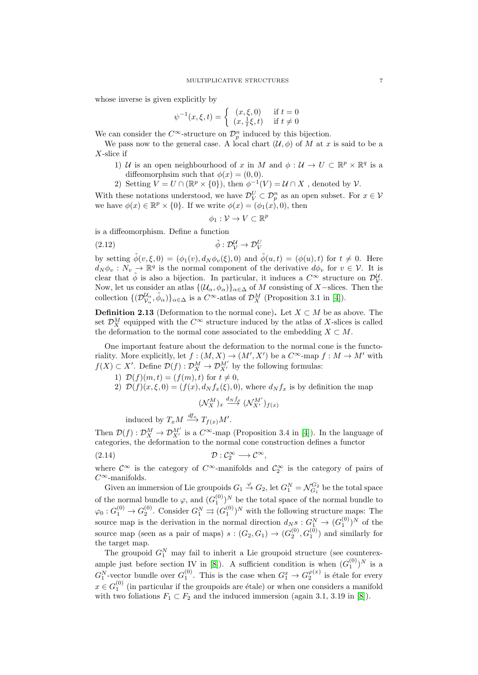whose inverse is given explicitly by

$$
\psi^{-1}(x,\xi,t) = \begin{cases} (x,\xi,0) & \text{if } t = 0\\ (x,\frac{1}{t}\xi,t) & \text{if } t \neq 0 \end{cases}
$$

We can consider the  $C^{\infty}$ -structure on  $\mathcal{D}_{p}^{n}$  induced by this bijection.

We pass now to the general case. A local chart  $(\mathcal{U}, \phi)$  of M at x is said to be a X-slice if

- 1) U is an open neighbourhood of x in M and  $\phi: U \to U \subset \mathbb{R}^p \times \mathbb{R}^q$  is a diffeomorphsim such that  $\phi(x) = (0, 0)$ .
- 2) Setting  $V = U \cap (\mathbb{R}^p \times \{0\})$ , then  $\phi^{-1}(V) = U \cap X$ , denoted by  $V$ .

With these notations understood, we have  $\mathcal{D}_{V}^{U} \subset \mathcal{D}_{p}^{n}$  as an open subset. For  $x \in V$ we have  $\phi(x) \in \mathbb{R}^p \times \{0\}$ . If we write  $\phi(x) = (\phi_1(x), 0)$ , then

$$
\phi_1: \mathcal{V} \to V \subset \mathbb{R}^p
$$

is a diffeomorphism. Define a function

(2.12) 
$$
\tilde{\phi}: \mathcal{D}_{\mathcal{V}}^{\mathcal{U}} \to \mathcal{D}_{V}^{\mathcal{U}}
$$

by setting  $\tilde{\phi}(v,\xi,0) = (\phi_1(v), d_N \phi_v(\xi), 0)$  and  $\tilde{\phi}(u,t) = (\phi(u), t)$  for  $t \neq 0$ . Here  $d_N \phi_v : N_v \to \mathbb{R}^q$  is the normal component of the derivative  $d\phi_v$  for  $v \in \mathcal{V}$ . It is clear that  $\tilde{\phi}$  is also a bijection. In particular, it induces a  $C^{\infty}$  structure on  $\mathcal{D}_{\mathcal{V}}^{\mathcal{U}}$ . Now, let us consider an atlas  $\{(\mathcal{U}_{\alpha}, \phi_{\alpha})\}_{\alpha \in \Delta}$  of M consisting of X-slices. Then the collection  $\{(\mathcal{D}_{\mathcal{V}_{\alpha}}^{\mathcal{U}_{\alpha}}, \tilde{\phi}_{\alpha})\}_{\alpha \in \Delta}$  is a  $C^{\infty}$ -atlas of  $\mathcal{D}_{X}^{M}$  (Proposition 3.1 in [\[4\]](#page-22-7)).

**Definition 2.13** (Deformation to the normal cone). Let  $X \subset M$  be as above. The set  $\mathcal{D}_{X}^{M}$  equipped with the  $C^{\infty}$  structure induced by the atlas of X-slices is called the deformation to the normal cone associated to the embedding  $X \subset M$ .

One important feature about the deformation to the normal cone is the functoriality. More explicitly, let  $f : (M, X) \to (M', X')$  be a  $C^{\infty}$ -map  $f : M \to M'$  with  $f(X) \subset X'$ . Define  $\mathcal{D}(f) : \mathcal{D}_{X}^{M} \to \mathcal{D}_{X'}^{M'}$  by the following formulas:

- 1)  $\mathcal{D}(f)(m, t) = (f(m), t)$  for  $t \neq 0$ ,
- 2)  $\mathcal{D}(f)(x,\xi,0) = (f(x), d_N f_x(\xi), 0)$ , where  $d_N f_x$  is by definition the map

 $(\mathcal{N}_{X}^{M})_{x}\stackrel{d_{N}f_{x}}{\longrightarrow}(\mathcal{N}_{X^{\prime}}^{M^{\prime}})_{f(x)}$ 

induced by  $T_xM \stackrel{df_x}{\longrightarrow} T_{f(x)}M'.$ 

Then  $\mathcal{D}(f): \mathcal{D}_{X}^{M} \to \mathcal{D}_{X'}^{M'}$  is a  $C^{\infty}$ -map (Proposition 3.4 in [\[4\]](#page-22-7)). In the language of categories, the deformation to the normal cone construction defines a functor

(2.14) D : C ∞ <sup>2</sup> −→ C<sup>∞</sup>,

where  $\mathcal{C}^{\infty}$  is the category of  $C^{\infty}$ -manifolds and  $\mathcal{C}_2^{\infty}$  is the category of pairs of  $C^{\infty}$ -manifolds.

Given an immersion of Lie groupoids  $G_1 \stackrel{\varphi}{\to} G_2$ , let  $G_1^N = \mathcal{N}_{G_1}^{G_2}$  be the total space of the normal bundle to  $\varphi$ , and  $(G_1^{(0)})^N$  be the total space of the normal bundle to  $\varphi_0: G_1^{(0)} \to G_2^{(0)}$ . Consider  $G_1^N \rightrightarrows (G_1^{(0)})^N$  with the following structure maps: The source map is the derivation in the normal direction  $d_N s : G_1^N \to (G_1^{(0)})^N$  of the source map (seen as a pair of maps)  $s:(G_2,G_1) \to (G_2^{(0)},G_1^{(0)})$  and similarly for the target map.

The groupoid  $G_1^N$  may fail to inherit a Lie groupoid structure (see counterex-ample just before section IV in [\[8\]](#page-22-3)). A sufficient condition is when  $(G_1^{(0)})^N$  is a  $G_1^N$ -vector bundle over  $G_1^{(0)}$ . This is the case when  $G_1^x \rightarrow G_2^{\varphi(x)}$  is étale for every  $x \in G_1^{(0)}$  (in particular if the groupoids are étale) or when one considers a manifold with two foliations  $F_1 \subset F_2$  and the induced immersion (again 3.1, 3.19 in [\[8\]](#page-22-3)).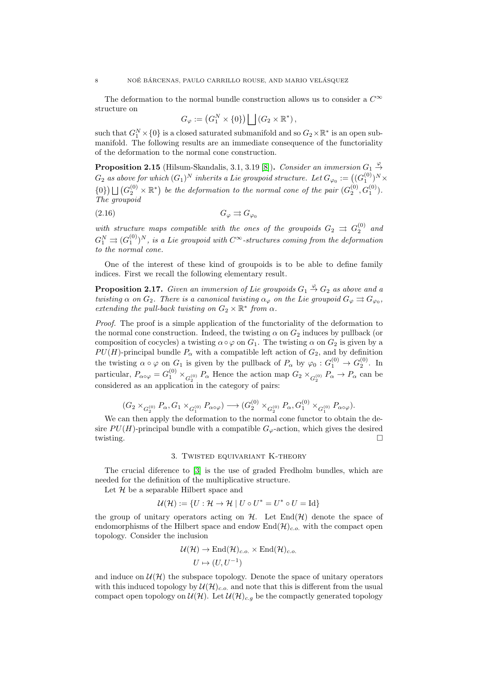The deformation to the normal bundle construction allows us to consider a  $C^{\infty}$ structure on

$$
G_{\varphi} := (G_1^N \times \{0\}) \bigsqcup (G_2 \times \mathbb{R}^*) ,
$$

such that  $G_1^N \times \{0\}$  is a closed saturated submanifold and so  $G_2 \times \mathbb{R}^*$  is an open submanifold. The following results are an immediate consequence of the functoriality of the deformation to the normal cone construction.

<span id="page-7-0"></span>**Proposition 2.15** (Hilsum-Skandalis, 3.1, 3.19 [\[8\]](#page-22-3)). Consider an immersion  $G_1 \stackrel{\varphi}{\rightarrow}$  $G_2$  as above for which  $(G_1)^N$  inherits a Lie groupoid structure. Let  $G_{\varphi_0} := \big((G_1^{(0)})^N \times$  $\{0\}\bigcup(G_2^{(0)}\times\mathbb{R}^*)$  be the deformation to the normal cone of the pair  $(G_2^{(0)},G_1^{(0)})$ . The groupoid

$$
(2.16)\t\t G_{\varphi} \rightrightarrows G_{\varphi_0}
$$

with structure maps compatible with the ones of the groupoids  $G_2 \Rightarrow G_2^{(0)}$  and  $G_1^N\rightrightarrows (G_1^{(0)})^N,$  is a Lie groupoid with  $C^\infty$ -structures coming from the deformation to the normal cone.

One of the interest of these kind of groupoids is to be able to define family indices. First we recall the following elementary result.

<span id="page-7-1"></span>**Proposition 2.17.** Given an immersion of Lie groupoids  $G_1 \overset{\varphi}{\rightarrow} G_2$  as above and a twisting  $\alpha$  on  $G_2$ . There is a canonical twisting  $\alpha_{\varphi}$  on the Lie groupoid  $G_{\varphi} \rightrightarrows G_{\varphi_0}$ , extending the pull-back twisting on  $G_2 \times \mathbb{R}^*$  from  $\alpha$ .

Proof. The proof is a simple application of the functoriality of the deformation to the normal cone construction. Indeed, the twisting  $\alpha$  on  $G_2$  induces by pullback (or composition of cocycles) a twisting  $\alpha \circ \varphi$  on  $G_1$ . The twisting  $\alpha$  on  $G_2$  is given by a  $PU(H)$ -principal bundle  $P_{\alpha}$  with a compatible left action of  $G_2$ , and by definition the twisting  $\alpha \circ \varphi$  on  $G_1$  is given by the pullback of  $P_\alpha$  by  $\varphi_0 : G_1^{(0)} \to G_2^{(0)}$ . In particular,  $P_{\alpha \circ \varphi} = G_1^{(0)} \times_{G_2^{(0)}} P_{\alpha}$  Hence the action map  $G_2 \times_{G_2^{(0)}} P_{\alpha} \to P_{\alpha}$  can be considered as an application in the category of pairs:

$$
(G_2 \times_{G_2^{(0)}} P_\alpha, G_1 \times_{G_1^{(0)}} P_{\alpha \circ \varphi}) \longrightarrow (G_2^{(0)} \times_{G_2^{(0)}} P_\alpha, G_1^{(0)} \times_{G_1^{(0)}} P_{\alpha \circ \varphi}).
$$

We can then apply the deformation to the normal cone functor to obtain the desire  $PU(H)$ -principal bundle with a compatible  $G_{\varphi}$ -action, which gives the desired twisting.

#### 3. Twisted equivariant K-theory

The crucial diference to [\[3\]](#page-22-8) is the use of graded Fredholm bundles, which are needed for the definition of the multiplicative structure.

Let  $\mathcal H$  be a separable Hilbert space and

$$
\mathcal{U}(\mathcal{H}) := \{ U : \mathcal{H} \to \mathcal{H} \mid U \circ U^* = U^* \circ U = \text{Id} \}
$$

the group of unitary operators acting on  $H$ . Let  $\text{End}(\mathcal{H})$  denote the space of endomorphisms of the Hilbert space and endow  $\text{End}(\mathcal{H})_{c.o.}$  with the compact open topology. Consider the inclusion

$$
\mathcal{U}(\mathcal{H}) \to \text{End}(\mathcal{H})_{c.o.} \times \text{End}(\mathcal{H})_{c.o.}
$$

$$
U \mapsto (U, U^{-1})
$$

and induce on  $\mathcal{U}(\mathcal{H})$  the subspace topology. Denote the space of unitary operators with this induced topology by  $\mathcal{U}(\mathcal{H})_{c.o.}$  and note that this is different from the usual compact open topology on  $\mathcal{U}(\mathcal{H})$ . Let  $\mathcal{U}(\mathcal{H})_{c,g}$  be the compactly generated topology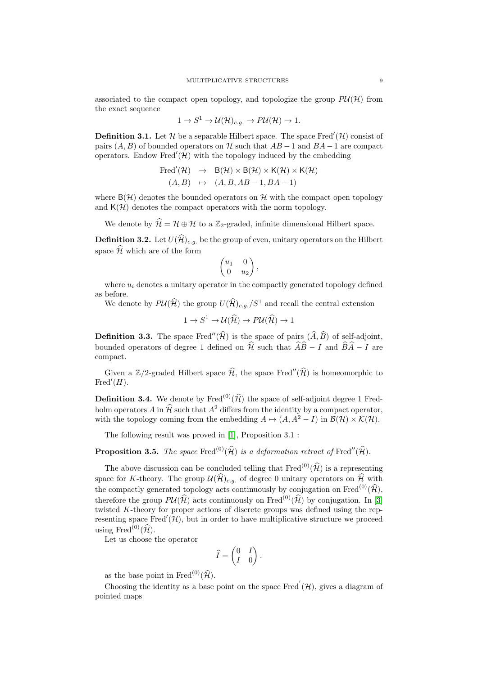associated to the compact open topology, and topologize the group  $P\mathcal{U}(\mathcal{H})$  from the exact sequence

$$
1 \to S^1 \to \mathcal{U}(\mathcal{H})_{c.g.} \to P\mathcal{U}(\mathcal{H}) \to 1.
$$

**Definition 3.1.** Let  $\mathcal{H}$  be a separable Hilbert space. The space Fred'( $\mathcal{H}$ ) consist of pairs  $(A, B)$  of bounded operators on H such that  $AB-1$  and  $BA-1$  are compact operators. Endow Fred $'(\mathcal{H})$  with the topology induced by the embedding

Fred'(
$$
(\mathcal{H}) \rightarrow B(\mathcal{H}) \times B(\mathcal{H}) \times K(\mathcal{H}) \times K(\mathcal{H})
$$
  
\n $(A, B) \rightarrow (A, B, AB - 1, BA - 1)$ 

where  $B(\mathcal{H})$  denotes the bounded operators on  $\mathcal{H}$  with the compact open topology and  $K(\mathcal{H})$  denotes the compact operators with the norm topology.

We denote by  $\widehat{\mathcal{H}} = \mathcal{H} \oplus \mathcal{H}$  to a Z<sub>2</sub>-graded, infinite dimensional Hilbert space.

**Definition 3.2.** Let  $U(\widehat{\mathcal{H}})_{c,q}$  be the group of even, unitary operators on the Hilbert space  $\widehat{\mathcal{H}}$  which are of the form

$$
\begin{pmatrix} u_1 & 0 \\ 0 & u_2 \end{pmatrix},
$$

where  $u_i$  denotes a unitary operator in the compactly generated topology defined as before.

We denote by  $P\mathcal{U}(\widehat{\mathcal{H}})$  the group  $U(\widehat{\mathcal{H}})_{c,q}$  /  $S^1$  and recall the central extension

$$
1 \to S^1 \to \mathcal{U}(\widehat{\mathcal{H}}) \to P\mathcal{U}(\widehat{\mathcal{H}}) \to 1
$$

**Definition 3.3.** The space Fred<sup>"</sup> $(\hat{\mathcal{H}})$  is the space of pairs  $(\hat{A}, \hat{B})$  of self-adjoint, bounded operators of degree 1 defined on  $\hat{\mathcal{H}}$  such that  $\hat{A}\hat{B} - I$  and  $\hat{B}\hat{A} - I$  are compact.

Given a Z/2-graded Hilbert space  $\widehat{\mathcal{H}}$ , the space Fred<sup>"</sup>( $\widehat{\mathcal{H}}$ ) is homeomorphic to Fred $'(H)$ .

**Definition 3.4.** We denote by Fred<sup>(0)</sup>( $\hat{\mathcal{H}}$ ) the space of self-adjoint degree 1 Fredholm operators A in  $\widehat{\mathcal{H}}$  such that  $A^2$  differs from the identity by a compact operator, with the topology coming from the embedding  $A \mapsto (A, A^2 - I)$  in  $\mathcal{B}(\mathcal{H}) \times \mathcal{K}(\mathcal{H})$ .

The following result was proved in [\[1\]](#page-22-9), Proposition 3.1 :

**Proposition 3.5.** The space Fred<sup>(0)</sup>( $\hat{\mathcal{H}}$ ) is a deformation retract of Fred"( $\hat{\mathcal{H}}$ ).

The above discussion can be concluded telling that  $\text{Fred}^{(0)}(\widehat{\mathcal{H}})$  is a representing space for K-theory. The group  $\mathcal{U}(\widehat{\mathcal{H}})_{c,q}$  of degree 0 unitary operators on  $\widehat{\mathcal{H}}$  with the compactly generated topology acts continuously by conjugation on Fred<sup>(0)</sup>( $\hat{\mathcal{H}}$ ), therefore the group  $P\mathcal{U}(\widehat{\mathcal{H}})$  acts continuously on Fred<sup>(0)</sup>( $\widehat{\mathcal{H}}$ ) by conjugation. In [\[3\]](#page-22-8) twisted K-theory for proper actions of discrete groups was defined using the representing space  $Fred'(\mathcal{H})$ , but in order to have multiplicative structure we proceed using Fred<sup>(0)</sup> $(\widehat{\mathcal{H}})$ .

Let us choose the operator

$$
\widehat{I} = \begin{pmatrix} 0 & I \\ I & 0 \end{pmatrix}.
$$

as the base point in Fred<sup>(0)</sup>( $\widehat{\mathcal{H}}$ ).

Choosing the identity as a base point on the space Fred<sup>'</sup> $(\mathcal{H})$ , gives a diagram of pointed maps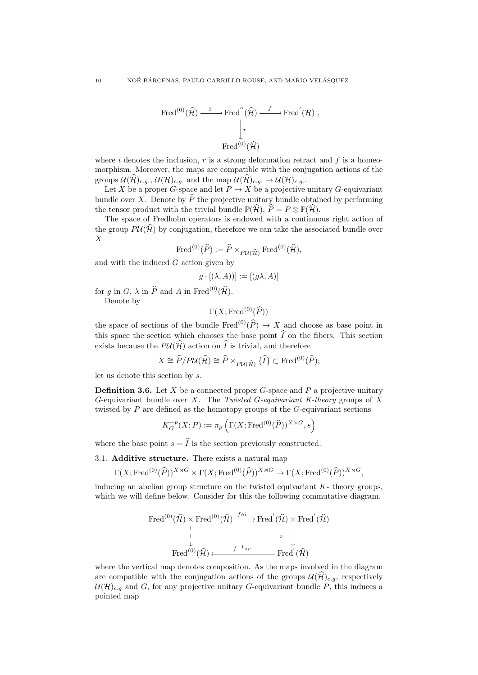$$
\text{Fred}^{(0)}(\widehat{\mathcal{H}}) \xrightarrow{i} \text{Fred}''(\widehat{\mathcal{H}}) \xrightarrow{f} \text{Fred}'(\mathcal{H}),
$$

$$
\downarrow_r
$$

$$
\text{Fred}^{(0)}(\widehat{\mathcal{H}})
$$

where i denotes the inclusion,  $r$  is a strong deformation retract and  $f$  is a homeomorphism. Moreover, the maps are compatible with the conjugation actions of the groups  $\mathcal{U}(\mathcal{H})_{c.g.}$ ,  $\mathcal{U}(\mathcal{H})_{c.g.}$  and the map  $\mathcal{U}(\mathcal{H})_{c.g.} \to \mathcal{U}(\mathcal{H})_{c.g.}$ .

Let X be a proper G-space and let  $P \to X$  be a projective unitary G-equivariant bundle over X. Denote by  $\hat{P}$  the projective unitary bundle obtained by performing the tensor product with the trivial bundle  $\mathbb{P}(\widehat{\mathcal{H}})$ ,  $\widehat{P} = P \otimes \mathbb{P}(\widehat{\mathcal{H}})$ .

The space of Fredholm operators is endowed with a continuous right action of the group  $P\mathcal{U}(\mathcal{H})$  by conjugation, therefore we can take the associated bundle over  $\boldsymbol{X}$ 

$$
\operatorname{Fred}^{(0)}(\widehat{P}) := \widehat{P} \times_{P\mathcal{U}(\widehat{\mathcal{H}})} \operatorname{Fred}^{(0)}(\widehat{\mathcal{H}}),
$$

and with the induced  $G$  action given by

$$
g \cdot [(\lambda, A))] := [(g\lambda, A)]
$$

for g in G,  $\lambda$  in  $\widehat{P}$  and A in Fred<sup>(0)</sup>( $\widehat{\mathcal{H}}$ ).

Denote by

$$
\Gamma(X; \operatorname{Fred}^{(0)}(\widehat{P}))
$$

the space of sections of the bundle Fred<sup>(0)</sup>( $\hat{P}$ )  $\rightarrow$  X and choose as base point in this space the section which chooses the base point  $\widehat{I}$  on the fibers. This section exists because the  $P\mathcal{U}(\widehat{\mathcal{H}})$  action on  $\widehat{I}$  is trivial, and therefore

 $X \cong \widehat{P}/P\mathcal{U}(\widehat{\mathcal{H}}) \cong \widehat{P} \times_{P\mathcal{U}(\widehat{\mathcal{H}})} {\{\widehat{I}\}} \subset \text{Fred}^{(0)}(\widehat{P});$ 

let us denote this section by s.

<span id="page-9-0"></span>**Definition 3.6.** Let X be a connected proper G-space and P a projective unitary G-equivariant bundle over X. The Twisted G-equivariant K-theory groups of X twisted by  $P$  are defined as the homotopy groups of the  $G$ -equivariant sections

$$
K_G^{-p}(X;P) := \pi_p\left(\Gamma(X; \text{Fred}^{(0)}(\widehat{P}))^{X \rtimes G}, s\right)
$$

where the base point  $s = \hat{I}$  is the section previously constructed.

3.1. Additive structure. There exists a natural map

 $\Gamma(X; \text{Fred}^{(0)}(\widehat{P}))^{X\rtimes G}\times \Gamma(X; \text{Fred}^{(0)}(\widehat{P}))^{X\rtimes G}\rightarrow \Gamma(X; \text{Fred}^{(0)}(\widehat{P}))^{X\rtimes G},$ 

inducing an abelian group structure on the twisted equivariant  $K$ - theory groups, which we will define below. Consider for this the following commutative diagram.

Fred<sup>(0)</sup>(
$$
\widehat{\mathcal{H}}
$$
) × Fred<sup>(0)</sup>( $\widehat{\mathcal{H}}$ )  $\xrightarrow{f \circ i}$  Fred<sup>'</sup>( $\widehat{\mathcal{H}}$ ) × Fred<sup>'</sup>( $\widehat{\mathcal{H}}$ )  
\n
$$
\downarrow \qquad \qquad \downarrow \qquad \qquad \downarrow
$$
\nFred<sup>(0)</sup>( $\widehat{\mathcal{H}}$ )  $\xrightarrow{f^{-1} \circ r}$  Fred<sup>'</sup>( $\widehat{\mathcal{H}}$ )

where the vertical map denotes composition. As the maps involved in the diagram are compatible with the conjugation actions of the groups  $\mathcal{U}(\widehat{\mathcal{H}})_{c,q}$ , respectively  $\mathcal{U}(\mathcal{H})_{c,q}$  and G, for any projective unitary G-equivariant bundle P, this induces a pointed map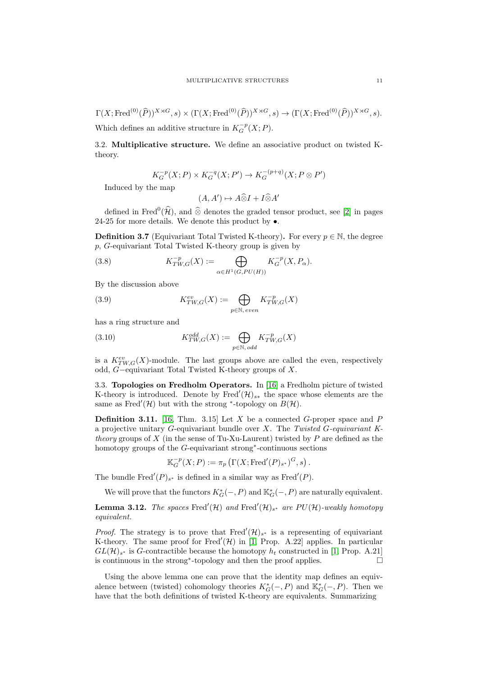$\Gamma(X; \operatorname{Fred}^{(0)}(\widehat{P}))^{X\rtimes G}, s) \times (\Gamma(X; \operatorname{Fred}^{(0)}(\widehat{P}))^{X\rtimes G}, s) \to (\Gamma(X; \operatorname{Fred}^{(0)}(\widehat{P}))^{X\rtimes G}, s).$ Which defines an additive structure in  $K_G^{-p}(X;P)$ .

3.2. Multiplicative structure. We define an associative product on twisted Ktheory.

$$
K_G^{-p}(X;P) \times K_G^{-q}(X;P') \to K_G^{-(p+q)}(X;P \otimes P')
$$

Induced by the map

$$
(A, A') \mapsto A \widehat{\otimes} I + I \widehat{\otimes} A'
$$

defined in Fred<sup>0</sup>( $\hat{\mathcal{H}}$ ), and ⊗ denotes the graded tensor product, see [\[2\]](#page-22-10) in pages 24-25 for more details. We denote this product by  $\bullet$ .

**Definition 3.7** (Equivariant Total Twisted K-theory). For every  $p \in \mathbb{N}$ , the degree p, G-equivariant Total Twisted K-theory group is given by

(3.8) 
$$
K_{TW,G}^{-p}(X) := \bigoplus_{\alpha \in H^1(G, PU(H))} K_G^{-p}(X, P_\alpha).
$$

By the discussion above

(3.9) 
$$
K^{ev}_{TW,G}(X) := \bigoplus_{p \in \mathbb{N}, \, even} K^{-p}_{TW,G}(X)
$$

has a ring structure and

(3.10) 
$$
K_{TW,G}^{odd}(X) := \bigoplus_{p \in \mathbb{N}, \text{ odd}} K_{TW,G}^{-p}(X)
$$

is a  $K^{ev}_{TW,G}(X)$ -module. The last groups above are called the even, respectively odd, G−equivariant Total Twisted K-theory groups of X.

3.3. Topologies on Fredholm Operators. In [\[16\]](#page-22-2) a Fredholm picture of twisted K-theory is introduced. Denote by Fred<sup>'</sup> $(\mathcal{H})_{s*}$  the space whose elements are the same as Fred'(H) but with the strong \*-topology on  $B(\mathcal{H})$ .

**Definition 3.11.** [\[16,](#page-22-2) Thm. 3.15] Let X be a connected G-proper space and P a projective unitary G-equivariant bundle over X. The Twisted G-equivariant Ktheory groups of X (in the sense of Tu-Xu-Laurent) twisted by P are defined as the homotopy groups of the G-equivariant strong<sup>∗</sup> -continuous sections

$$
\mathbb{K}_G^{-p}(X;P) := \pi_p \left( \Gamma(X; \text{Fred}'(P)_{s^*})^G, s \right).
$$

The bundle Fred<sup>'</sup> $(P)_{s^*}$  is defined in a similar way as Fred<sup>'</sup> $(P)$ .

We will prove that the functors  $K_G^*(-, P)$  and  $\mathbb{K}_G^*(-, P)$  are naturally equivalent.

**Lemma 3.12.** The spaces Fred'(H) and Fred'(H)<sub>s\*</sub> are  $PU(\mathcal{H})$ -weakly homotopy equivalent.

*Proof.* The strategy is to prove that Fred<sup>'</sup> $(\mathcal{H})_{s^*}$  is a representing of equivariant K-theory. The same proof for Fred $'(\mathcal{H})$  in [\[1,](#page-22-9) Prop. A.22] applies. In particular  $GL(\mathcal{H})_{s^*}$  is G-contractible because the homotopy  $h_t$  constructed in [\[1,](#page-22-9) Prop. A.21] is continuous in the strong<sup>∗</sup> -topology and then the proof applies.

Using the above lemma one can prove that the identity map defines an equivalence between (twisted) cohomology theories  $K_G^*(-, P)$  and  $\mathbb{K}_G^*(-, P)$ . Then we have that the both definitions of twisted K-theory are equivalents. Summarizing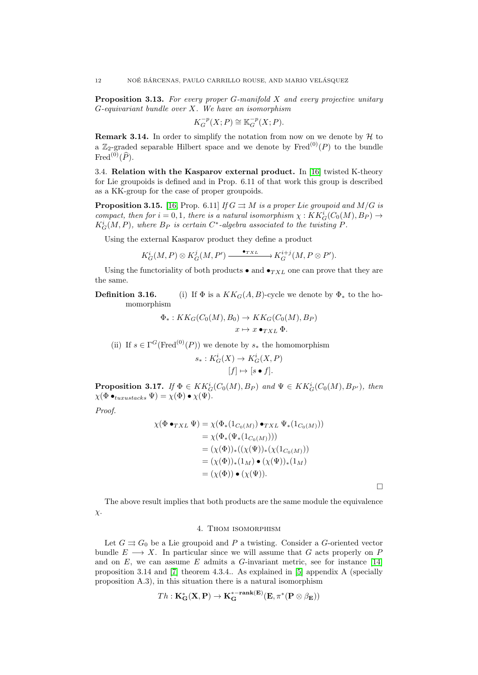<span id="page-11-0"></span>**Proposition 3.13.** For every proper G-manifold  $X$  and every projective unitary  $G$ -equivariant bundle over  $X$ . We have an isomorphism

$$
K_G^{-p}(X;P) \cong \mathbb{K}_G^{-p}(X;P).
$$

**Remark 3.14.** In order to simplify the notation from now on we denote by  $H$  to a  $\mathbb{Z}_2$ -graded separable Hilbert space and we denote by Fred<sup>(0)</sup>(P) to the bundle Fred<sup>(0)</sup>( $\widehat{P}$ ).

3.4. Relation with the Kasparov external product. In [\[16\]](#page-22-2) twisted K-theory for Lie groupoids is defined and in Prop. 6.11 of that work this group is described as a KK-group for the case of proper groupoids.

**Proposition 3.15.** [\[16,](#page-22-2) Prop. 6.11] If  $G \rightrightarrows M$  is a proper Lie groupoid and  $M/G$  is compact, then for  $i = 0, 1$ , there is a natural isomorphism  $\chi : KK_G^i(C_0(M), B_P) \to$  $K_G^i(M, P)$ , where  $B_P$  is certain  $C^*$ -algebra associated to the twisting  $P$ .

Using the external Kasparov product they define a product

$$
K_G^i(M, P) \otimes K_G^j(M, P') \xrightarrow{\bullet_{TXL}} K_G^{i+j}(M, P \otimes P').
$$

Using the functoriality of both products  $\bullet$  and  $\bullet_{TXL}$  one can prove that they are the same.

# **Definition 3.16.** (i) If  $\Phi$  is a  $KK_G(A, B)$ -cycle we denote by  $\Phi_*$  to the homomorphism

$$
\Phi_*: KK_G(C_0(M), B_0) \to KK_G(C_0(M), B_P)
$$
  

$$
x \mapsto x \bullet_{TXL} \Phi.
$$

(ii) If  $s \in \Gamma^G(\text{Fred}^{(0)}(P))$  we denote by  $s_*$  the homomorphism

$$
s_*: K_G^i(X) \to K_G^i(X, P)
$$

$$
[f] \mapsto [s \bullet f].
$$

**Proposition 3.17.** If  $\Phi \in KK_G^i(C_0(M), B_P)$  and  $\Psi \in KK_G^i(C_0(M), B_{P'})$ , then  $\chi(\Phi \bullet_{tuxustacks} \Psi) = \chi(\Phi) \bullet \chi(\Psi).$ 

Proof.

$$
\chi(\Phi \bullet_{TXL} \Psi) = \chi(\Phi_*(1_{C_0(M)}) \bullet_{TXL} \Psi_*(1_{C_0(M)}))
$$
  
\n
$$
= \chi(\Phi_*(\Psi_*(1_{C_0(M)})))
$$
  
\n
$$
= (\chi(\Phi))_*((\chi(\Psi))_*(\chi(1_{C_0(M)})))
$$
  
\n
$$
= (\chi(\Phi))_*(1_M) \bullet (\chi(\Psi))_*(1_M)
$$
  
\n
$$
= (\chi(\Phi)) \bullet (\chi(\Psi)).
$$

 $\Box$ 

The above result implies that both products are the same module the equivalence  $\chi$ .

## 4. Thom isomorphism

Let  $G \rightrightarrows G_0$  be a Lie groupoid and P a twisting. Consider a G-oriented vector bundle  $E \longrightarrow X$ . In particular since we will assume that G acts properly on P and on E, we can assume E admits a G-invariant metric, see for instance  $[14]$ proposition 3.14 and [\[7\]](#page-22-12) theorem 4.3.4.. As explained in [\[5\]](#page-22-0) appendix A (specially proposition A.3), in this situation there is a natural isomorphism

$$
Th: \mathbf{K}^*_{\mathbf{G}}(\mathbf{X},\mathbf{P}) \to \mathbf{K}^{* - \mathbf{rank}(\mathbf{E})}_{\mathbf{G}}(\mathbf{E},\pi^*(\mathbf{P} \otimes \beta_{\mathbf{E}}))
$$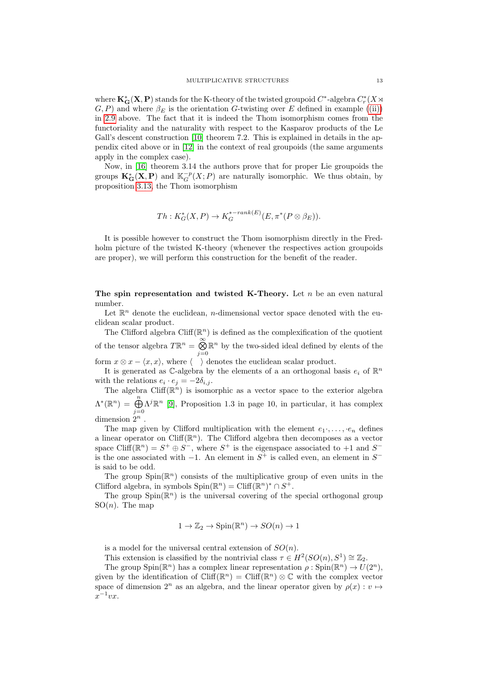where  $\mathbf{K}_{\mathbf{G}}^{\ast}(\mathbf{X},\mathbf{P})$  stands for the K-theory of the twisted groupoid  $C^{\ast}$ -algebra  $C_r^{\ast}(X)$  $(G, P)$  and where  $\beta_E$  is the orientation G-twisting over E defined in example [\(\(ii\)\)](#page-5-0) in [2.9](#page-4-0) above. The fact that it is indeed the Thom isomorphism comes from the functoriality and the naturality with respect to the Kasparov products of the Le Gall's descent construction [\[10\]](#page-22-13) theorem 7.2. This is explained in details in the appendix cited above or in [\[12\]](#page-22-14) in the context of real groupoids (the same arguments apply in the complex case).

Now, in [\[16\]](#page-22-2) theorem 3.14 the authors prove that for proper Lie groupoids the groups  $\mathbf{K}_{\mathbf{G}}^*(\mathbf{X}, \mathbf{P})$  and  $\mathbb{K}_G^{-p}(X; P)$  are naturally isomorphic. We thus obtain, by proposition [3.13,](#page-11-0) the Thom isomorphism

$$
Th: K_G^*(X, P) \to K_G^{*-rank(E)}(E, \pi^*(P \otimes \beta_E)).
$$

It is possible however to construct the Thom isomorphism directly in the Fredholm picture of the twisted K-theory (whenever the respectives action groupoids are proper), we will perform this construction for the benefit of the reader.

The spin representation and twisted K-Theory. Let  $n$  be an even natural number.

Let  $\mathbb{R}^n$  denote the euclidean, *n*-dimensional vector space denoted with the euclidean scalar product.

The Clifford algebra  $Cliff(\mathbb{R}^n)$  is defined as the complexification of the quotient of the tensor algebra  $T\mathbb{R}^n = \bigotimes^{\infty}$  $j=0$  $\mathbb{R}^n$  by the two-sided ideal defined by elents of the form  $x \otimes x - \langle x, x \rangle$ , where  $\langle x \rangle$  denotes the euclidean scalar product.

It is generated as  $\mathbb{C}$ -algebra by the elements of a an orthogonal basis  $e_i$  of  $\mathbb{R}^n$ with the relations  $e_i \cdot e_j = -2\delta_{i,j}$ .

The algebra Cliff( $\mathbb{R}^n$ ) is isomorphic as a vector space to the exterior algebra  $\Lambda^*(\mathbb{R}^n) = \bigoplus_{n=0}^n \Lambda^j \mathbb{R}^n$  [\[9\]](#page-22-15), Proposition 1.3 in page 10, in particular, it has complex dimension  $2^n$ .

The map given by Clifford multiplication with the element  $e_1, \ldots, e_n$  defines a linear operator on Cliff( $\mathbb{R}^n$ ). The Clifford algebra then decomposes as a vector space Cliff( $\mathbb{R}^n$ ) =  $S^+ \oplus S^-$ , where  $S^+$  is the eigenspace associated to +1 and  $S^$ is the one associated with  $-1$ . An element in  $S^+$  is called even, an element in  $S^$ is said to be odd.

The group  $Spin(\mathbb{R}^n)$  consists of the multiplicative group of even units in the Clifford algebra, in symbols  $Spin(\mathbb{R}^n) = Cliff(\mathbb{R}^n)^* \cap S^+$ .

The group  $Spin(\mathbb{R}^n)$  is the universal covering of the special orthogonal group  $SO(n)$ . The map

$$
1 \to \mathbb{Z}_2 \to \text{Spin}(\mathbb{R}^n) \to SO(n) \to 1
$$

is a model for the universal central extension of  $SO(n)$ .

This extension is classified by the nontrivial class  $\tau \in H^2(SO(n), S^1) \cong \mathbb{Z}_2$ .

The group  $Spin(\mathbb{R}^n)$  has a complex linear representation  $\rho:Spin(\mathbb{R}^n) \to U(2^n)$ , given by the identification of  $Cliff(\mathbb{R}^n) = Cliff(\mathbb{R}^n) \otimes \mathbb{C}$  with the complex vector space of dimension  $2^n$  as an algebra, and the linear operator given by  $\rho(x): v \mapsto$  $x^{-1}vx.$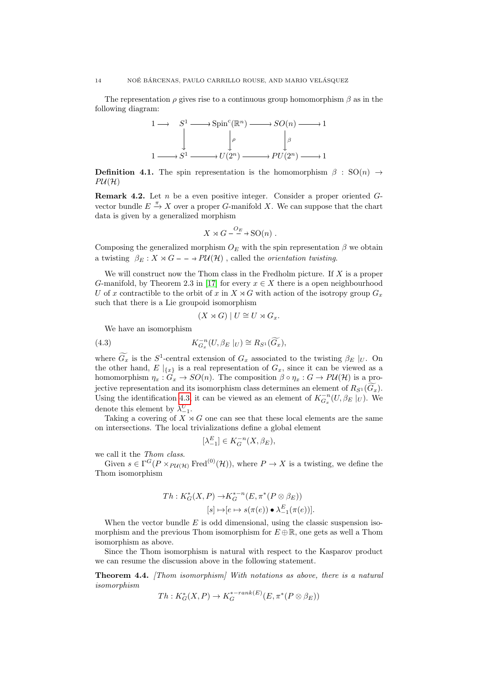The representation  $\rho$  gives rise to a continuous group homomorphism  $\beta$  as in the following diagram:



**Definition 4.1.** The spin representation is the homomorphism  $\beta$  : SO(n)  $\rightarrow$  $P\mathcal{U}(\mathcal{H})$ 

**Remark 4.2.** Let n be a even positive integer. Consider a proper oriented  $G$ vector bundle  $E \stackrel{\pi}{\rightarrow} X$  over a proper G-manifold X. We can suppose that the chart data is given by a generalized morphism

$$
X \rtimes G - \xrightarrow{O_E} SO(n) .
$$

Composing the generalized morphism  $O_E$  with the spin representation  $\beta$  we obtain a twisting  $\beta_E : X \rtimes G - \rightarrow PU(H)$ , called the *orientation twisting*.

We will construct now the Thom class in the Fredholm picture. If  $X$  is a proper G-manifold, by Theorem 2.3 in [\[17\]](#page-22-16) for every  $x \in X$  there is a open neighbourhood U of x contractible to the orbit of x in  $X \rtimes G$  with action of the isotropy group  $G_x$ such that there is a Lie groupoid isomorphism

<span id="page-13-0"></span>
$$
(X \rtimes G) | U \cong U \rtimes G_x.
$$

We have an isomorphism

(4.3) 
$$
K_{G_x}^{-n}(U, \beta_E |_U) \cong R_{S^1}(\widetilde{G}_x),
$$

where  $G_x$  is the  $S^1$ -central extension of  $G_x$  associated to the twisting  $\beta_E |_{U}$ . On the other hand,  $E|_{\{x\}}$  is a real representation of  $G_x$ , since it can be viewed as a homomorphism  $\eta_x : G_x \to SO(n)$ . The composition  $\beta \circ \eta_x : G \to PU(\mathcal{H})$  is a projective representation and its isomorphism class determines an element of  $R_{S^1}(G_x)$ . Using the identification [4.3,](#page-13-0) it can be viewed as an element of  $K_{G_x}^{-n}(U, \beta_E \mid_U)$ . We denote this element by  $\lambda_{-1}^U$ .

Taking a covering of  $X \rtimes G$  one can see that these local elements are the same on intersections. The local trivializations define a global element

$$
[\lambda_{-1}^E] \in K_G^{-n}(X, \beta_E),
$$

we call it the Thom class.

Given  $s \in \Gamma^G(P \times_{P\mathcal{U}(\mathcal{H})} \text{Fred}^{(0)}(\mathcal{H}))$ , where  $P \to X$  is a twisting, we define the Thom isomorphism

$$
Th: K_G^*(X, P) \to K_G^{*-n}(E, \pi^*(P \otimes \beta_E))
$$
  

$$
[s] \mapsto [e \mapsto s(\pi(e)) \bullet \lambda_{-1}^E(\pi(e))].
$$

When the vector bundle  $E$  is odd dimensional, using the classic suspension isomorphism and the previous Thom isomorphism for  $E \oplus \mathbb{R}$ , one gets as well a Thom isomorphism as above.

Since the Thom isomorphism is natural with respect to the Kasparov product we can resume the discussion above in the following statement.

<span id="page-13-1"></span>**Theorem 4.4.** [Thom isomorphism] With notations as above, there is a natural isomorphism  $\frac{1}{2}$   $\frac{1}{2}$ 

$$
Th: K_G^*(X, P) \to K_G^{*-rank(E)}(E, \pi^*(P \otimes \beta_E))
$$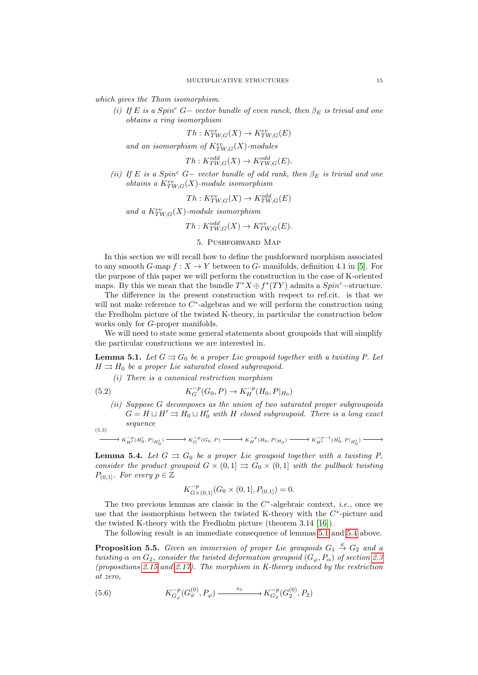which gives the Thom isomorphism.

(i) If E is a Spin<sup>c</sup> G− vector bundle of even ranck, then  $\beta_E$  is trivial and one obtains a ring isomorphism

$$
Th: K^{ev}_{TW,G}(X) \to K^{ev}_{TW,G}(E)
$$

and an isomorphism of  $K^{ev}_{TW,G}(X)$ -modules

$$
Th: K^{odd}_{TW,G}(X) \to K^{odd}_{TW,G}(E).
$$

(ii) If E is a Spin<sup>c</sup> G− vector bundle of odd rank, then  $\beta_E$  is trivial and one obtains a  $K_{TW,G}^{ev}(X)$ -module isomorphism

$$
Th: K^{ev}_{TW,G}(X) \to K^{odd}_{TW,G}(E)
$$

and a  $K^{ev}_{TW,G}(X)$ -module isomorphism

 $Th: K^{odd}_{TW,G}(X) \to K^{ev}_{TW,G}(E).$ 

# 5. Pushforward Map

<span id="page-14-0"></span>In this section we will recall how to define the pushforward morphism associated to any smooth G-map  $f: X \to Y$  between to G- manifolds, definition 4.1 in [\[5\]](#page-22-0). For the purpose of this paper we will perform the construction in the case of K-oriented maps. By this we mean that the bundle  $T^*X \oplus f^*(TY)$  admits a  $Spin^c$ -structure.

The difference in the present construction with respect to ref.cit. is that we will not make reference to  $C^*$ -algebras and we will perform the construction using the Fredholm picture of the twisted K-theory, in particular the construction below works only for G-proper manifolds.

We will need to state some general statements about groupoids that will simplify the particular constructions we are interested in.

<span id="page-14-1"></span>**Lemma 5.1.** Let  $G \rightrightarrows G_0$  be a proper Lie groupoid together with a twisting P. Let  $H \rightrightarrows H_0$  be a proper Lie saturated closed subgroupoid.

(i) There is a canonical restriction morphism

(5.2) 
$$
K_G^{-p}(G_0, P) \to K_H^{-p}(H_0, P|_{H_0})
$$

(ii) Suppose G decomposes as the union of two saturated proper subgroupoids  $G = H \sqcup H' \rightrightarrows H_0 \sqcup H'_0$  with H closed subgroupoid. There is a long exact sequence (5.3)

$$
\longrightarrow K_{H'}^{-p}(H'_0, P|_{H'_0}) \longrightarrow K_G^{-p}(G_0, P) \longrightarrow K_H^{-p}(H_0, P|_{H_0}) \longrightarrow K_{H'}^{-p-1}(H'_0, P|_{H'_0})
$$

<span id="page-14-2"></span>**Lemma 5.4.** Let  $G \rightrightarrows G_0$  be a proper Lie groupoid together with a twisting P, consider the product groupoid  $G \times (0,1] \Rightarrow G_0 \times (0,1]$  with the pullback twisting  $P_{(0,1]}$ . For every  $p \in \mathbb{Z}$ 

$$
K_{G \times (0,1]}^{-p}(G_0 \times (0,1], P_{(0,1]}) = 0.
$$

The two previous lemmas are classic in the  $C^*$ -algebraic context, *i.e.*, once we use that the isomorphism between the twisted K-theory with the  $C^*$ -picture and the twisted K-theory with the Fredholm picture (theorem 3.14 [\[16\]](#page-22-2)).

The following result is an immediate consequence of lemmas [5.1](#page-14-1) and [5.4](#page-14-2) above.

**Proposition 5.5.** Given an immersion of proper Lie groupoids  $G_1 \stackrel{\varphi}{\rightarrow} G_2$  and a twisting  $\alpha$  on  $G_2$ , consider the twisted deformation groupoid  $(G_{\varphi}, P_{\alpha})$  of section [2.3](#page-5-1) (propositions [2.15](#page-7-0) and [2.17\)](#page-7-1). The morphism in K-theory induced by the restriction at zero,

(5.6) 
$$
K_{G_{\varphi}}^{-p}(G_{\varphi}^{(0)}, P_{\varphi}) \xrightarrow{e_0} K_{G_2}^{-p}(G_2^{(0)}, P_2)
$$

/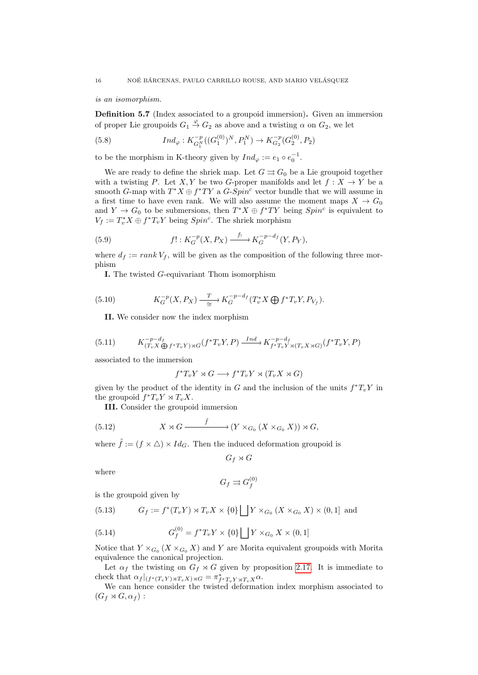is an isomorphism.

Definition 5.7 (Index associated to a groupoid immersion). Given an immersion of proper Lie groupoids  $G_1 \stackrel{\varphi}{\rightarrow} G_2$  as above and a twisting  $\alpha$  on  $G_2$ , we let

(5.8) 
$$
Ind_{\varphi}: K^{-p}_{G_1^N}((G_1^{(0)})^N, P_1^N) \to K^{-p}_{G_2}(G_2^{(0)}, P_2)
$$

to be the morphism in K-theory given by  $Ind_{\varphi} := e_1 \circ e_0^{-1}$ .

We are ready to define the shriek map. Let  $G \rightrightarrows G_0$  be a Lie groupoid together with a twisting P. Let X, Y be two G-proper manifolds and let  $f: X \to Y$  be a smooth G-map with  $T^*X \oplus f^*TY$  a  $G-Spin^c$  vector bundle that we will assume in a first time to have even rank. We will also assume the moment maps  $X \to G_0$ and  $Y \to G_0$  to be submersions, then  $T^*X \oplus f^*TY$  being  $Spin^c$  is equivalent to  $V_f := T_v^* X \oplus f^* T_v Y$  being  $Spin^c$ . The shriek morphism

(5.9) 
$$
f! : K_G^{-p}(X, P_X) \xrightarrow{f_1} K_G^{-p-d_f}(Y, P_Y),
$$

where  $d_f := rank V_f$ , will be given as the composition of the following three morphism

I. The twisted G-equivariant Thom isomorphism

(5.10) 
$$
K_G^{-p}(X, P_X) \xrightarrow{\qquad T} K_G^{-p-d_f}(T_v^*X \bigoplus f^*T_vY, P_{V_f}).
$$

<span id="page-15-1"></span><span id="page-15-0"></span>II. We consider now the index morphism

(5.11) 
$$
K_{(T_v X \bigoplus f^* T_v Y) \rtimes G}^{-p-d_f} (f^* T_v Y, P) \xrightarrow{Ind} K_{f^* T_v Y \rtimes (T_v X \rtimes G)}^{-p-d_f} (f^* T_v Y, P)
$$

associated to the immersion

<span id="page-15-2"></span>
$$
f^*T_vY \rtimes G \longrightarrow f^*T_vY \rtimes (T_vX \rtimes G)
$$

given by the product of the identity in G and the inclusion of the units  $f^*T_vY$  in the groupoid  $f^*T_vY \rtimes T_vX$ .

III. Consider the groupoid immersion

(5.12) 
$$
X \rtimes G \xrightarrow{\tilde{f}} (Y \times_{G_0} (X \times_{G_0} X)) \rtimes G,
$$

where  $\tilde{f} := (f \times \triangle) \times Id_G$ . Then the induced deformation groupoid is

$$
G_f \rtimes G
$$

where

$$
G_f\rightrightarrows G_f^{(0)}
$$

is the groupoid given by

<span id="page-15-3"></span>(5.13) 
$$
G_f := f^*(T_v Y) \rtimes T_v X \times \{0\} \bigsqcup Y \times_{G_0} (X \times_{G_0} X) \times (0,1] \text{ and}
$$

(5.14) 
$$
G_f^{(0)} = f^*T_vY \times \{0\} \bigsqcup Y \times_{G_0} X \times (0,1]
$$

Notice that  $Y \times_{G_0} (X \times_{G_0} X)$  and Y are Morita equivalent groupoids with Morita equivalence the canonical projection.

Let  $\alpha_f$  the twisting on  $G_f \rtimes G$  given by proposition [2.17.](#page-7-1) It is immediate to check that  $\alpha_f|_{(f^*(T_vY)\rtimes T_vX)\rtimes G}=\pi_{f^*T_vY\rtimes T_vX}^* \alpha.$ 

We can hence consider the twisted deformation index morphism associated to  $(G_f \rtimes G, \alpha_f)$ :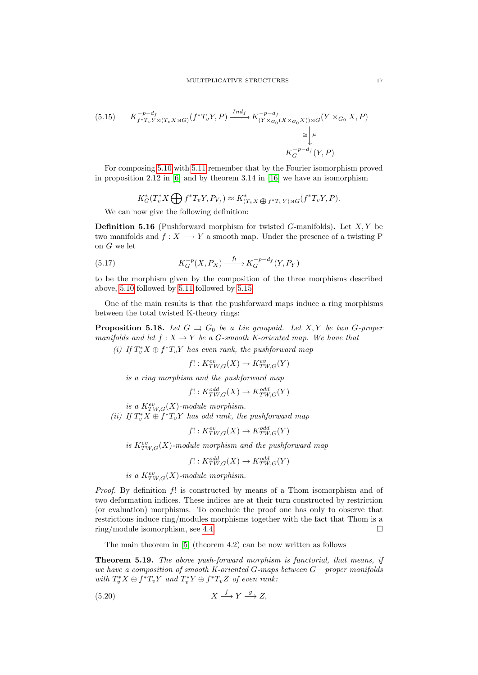<span id="page-16-1"></span>(5.15) 
$$
K_{f^*T_vY \rtimes (T_vX \rtimes G)}^{-p-d_f} (f^*T_vY, P) \xrightarrow{Ind_f} K_{(Y \times G_0(X \times G_0X)) \rtimes G}^{-p-d_f}(Y \times G_0 X, P)
$$

$$
\cong \downarrow^{\mu}
$$

$$
K_G^{-p-d_f}(Y, P)
$$

For composing [5.10](#page-15-0) with [5.11](#page-15-1) remember that by the Fourier isomorphism proved in proposition 2.12 in  $[6]$  and by theorem 3.14 in  $[16]$  we have an isomorphism

$$
K_G^*(T_v^*X \bigoplus f^*T_vY, P_{V_f}) \approx K_{(T_vX \bigoplus f^*T_vY) \rtimes G}^*(f^*T_vY, P).
$$

We can now give the following definition:

**Definition 5.16** (Pushforward morphism for twisted G-manifolds). Let  $X, Y$  be two manifolds and  $f: X \longrightarrow Y$  a smooth map. Under the presence of a twisting P on G we let

(5.17) 
$$
K_G^{-p}(X, P_X) \xrightarrow{f_!} K_G^{-p-d_f}(Y, P_Y)
$$

to be the morphism given by the composition of the three morphisms described above, [5.10](#page-15-0) followed by [5.11](#page-15-1) followed by [5.15.](#page-16-1)

One of the main results is that the pushforward maps induce a ring morphisms between the total twisted K-theory rings:

<span id="page-16-0"></span>**Proposition 5.18.** Let  $G \rightrightarrows G_0$  be a Lie groupoid. Let  $X, Y$  be two G-proper manifolds and let  $f: X \to Y$  be a G-smooth K-oriented map. We have that

(i) If  $T_v^*X \oplus f^*T_vY$  has even rank, the pushforward map

$$
f! : K^{ev}_{TW,G}(X) \to K^{ev}_{TW,G}(Y)
$$

is a ring morphism and the pushforward map

$$
f! : K^{odd}_{TW,G}(X) \to K^{odd}_{TW,G}(Y)
$$

is a  $K^{ev}_{TW,G}(X)$ -module morphism.

(ii) If  $T_v^*X \oplus f^*T_vY$  has odd rank, the pushforward map

$$
f! : K^{ev}_{TW,G}(X) \to K^{odd}_{TW,G}(Y)
$$

is  $K^{ev}_{TW,G}(X)$ -module morphism and the pushforward map

$$
f! : K^{odd}_{TW,G}(X) \to K^{odd}_{TW,G}(Y)
$$

is a  $K^{ev}_{TW,G}(X)$ -module morphism.

Proof. By definition f! is constructed by means of a Thom isomorphism and of two deformation indices. These indices are at their turn constructed by restriction (or evaluation) morphisms. To conclude the proof one has only to observe that restrictions induce ring/modules morphisms together with the fact that Thom is a ring/module isomorphism, see [4.4.](#page-13-1)

The main theorem in [\[5\]](#page-22-0) (theorem 4.2) can be now written as follows

Theorem 5.19. The above push-forward morphism is functorial, that means, if we have a composition of smooth K-oriented G-maps between G− proper manifolds with  $T_v^*X \oplus f^*T_vY$  and  $T_v^*Y \oplus f^*T_vZ$  of even rank:

$$
(5.20) \t\t X \xrightarrow{f} Y \xrightarrow{g} Z,
$$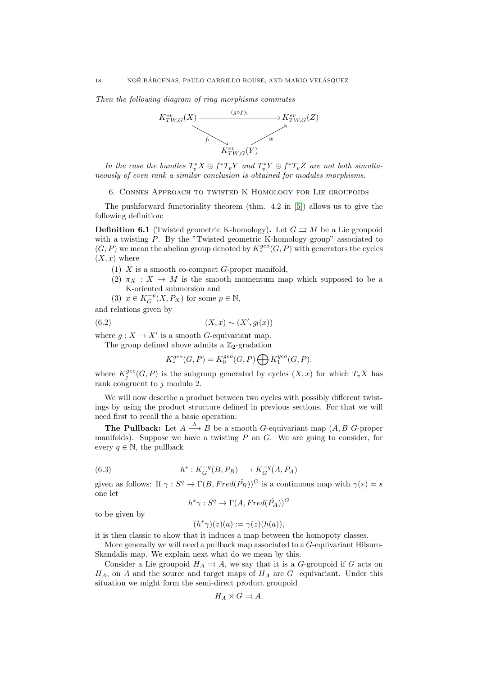Then the following diagram of ring morphisms commutes



In the case the bundles  $T_v^*X \oplus f^*T_vY$  and  $T_v^*Y \oplus f^*T_vZ$  are not both simultaneously of even rank a similar conclusion is obtained for modules morphisms.

<span id="page-17-1"></span>6. Connes Approach to twisted K Homology for Lie groupoids

The pushforward functoriality theorem (thm. 4.2 in [\[5\]](#page-22-0)) allows us to give the following definition:

<span id="page-17-0"></span>**Definition 6.1** (Twisted geometric K-homology). Let  $G \rightrightarrows M$  be a Lie groupoid with a twisting P. By the "Twisted geometric K-homology group" associated to  $(G, P)$  we mean the abelian group denoted by  $K_*^{geo}(G, P)$  with generators the cycles  $(X, x)$  where

- $(1)$  X is a smooth co-compact G-proper manifold,
- (2)  $\pi_X : X \to M$  is the smooth momentum map which supposed to be a K-oriented submersion and

(3)  $x \in K_G^{-p}(X, P_X)$  for some  $p \in \mathbb{N}$ ,

and relations given by

$$
(6.2)\qquad \qquad (X,x)\sim(X',g_!(x))
$$

where  $g: X \to X'$  is a smooth G-equivariant map.

The group defined above admits a  $\mathbb{Z}_2$ -gradation

$$
K_*^{geo}(G, P) = K_0^{geo}(G, P) \bigoplus K_1^{geo}(G, P).
$$

where  $K_j^{geo}(G, P)$  is the subgroup generated by cycles  $(X, x)$  for which  $T_v X$  has rank congruent to  $j$  modulo 2.

We will now describe a product between two cycles with possibly different twistings by using the product structure defined in previous sections. For that we will need first to recall the a basic operation:

**The Pullback:** Let  $A \stackrel{h}{\longrightarrow} B$  be a smooth G-equivariant map  $(A, B \ G$ -proper manifolds). Suppose we have a twisting  $P$  on  $G$ . We are going to consider, for every  $q \in \mathbb{N}$ , the pullback

(6.3) 
$$
h^*: K_G^{-q}(B, P_B) \longrightarrow K_G^{-q}(A, P_A)
$$

given as follows: If  $\gamma : S^q \to \Gamma(B, Fred(\hat{P_B}))^G$  is a continuous map with  $\gamma(*)=s$ one let

$$
h^*\gamma : S^q \to \Gamma(A, Fred(\hat{P_A}))^G
$$

to be given by

$$
(h^*\gamma)(z)(a) := \gamma(z)(h(a)),
$$

it is then classic to show that it induces a map between the homopoty classes.

More generally we will need a pullback map associated to a  $G$ -equivariant Hilsum-Skandalis map. We explain next what do we mean by this.

Consider a Lie groupoid  $H_A \rightrightarrows A$ , we say that it is a G-groupoid if G acts on  $H_A$ , on A and the source and target maps of  $H_A$  are G-equivariant. Under this situation we might form the semi-direct product groupoid

$$
H_A \rtimes G \rightrightarrows A.
$$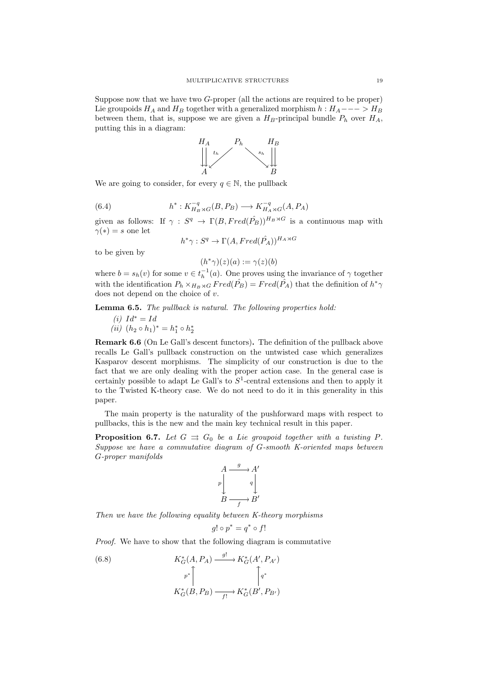Suppose now that we have two G-proper (all the actions are required to be proper) Lie groupoids  $H_A$  and  $H_B$  together with a generalized morphism  $h : H_A$ --->  $H_B$ between them, that is, suppose we are given a  $H_B$ -principal bundle  $P_h$  over  $H_A$ , putting this in a diagram:



We are going to consider, for every  $q \in \mathbb{N}$ , the pullback

(6.4) 
$$
h^*: K_{H_B \rtimes G}^{-q}(B, P_B) \longrightarrow K_{H_A \rtimes G}^{-q}(A, P_A)
$$

given as follows: If  $\gamma : S^q \to \Gamma(B, Fred(\hat{P}_B))^{H_B \rtimes G}$  is a continuous map with  $\gamma(*) = s$  one let

$$
h^* \gamma : S^q \to \Gamma(A, Fred(\hat{P_A}))^{H_A \rtimes G}
$$

to be given by

 $(h^*\gamma)(z)(a) := \gamma(z)(b)$ 

where  $b = s_h(v)$  for some  $v \in t_h^{-1}(a)$ . One proves using the invariance of  $\gamma$  together with the identification  $P_h \times_{H_B \rtimes G} Fred(\hat{P_B}) = Fred(\hat{P_A})$  that the definition of  $h^* \gamma$ does not depend on the choice of  $v$ .

Lemma 6.5. The pullback is natural. The following properties hold:

$$
(i) \, Id^* = Id
$$

(*ii*)  $(h_2 \circ h_1)^* = h_1^* \circ h_2^*$ 

Remark 6.6 (On Le Gall's descent functors). The definition of the pullback above recalls Le Gall's pullback construction on the untwisted case which generalizes Kasparov descent morphisms. The simplicity of our construction is due to the fact that we are only dealing with the proper action case. In the general case is certainly possible to adapt Le Gall's to  $S<sup>1</sup>$ -central extensions and then to apply it to the Twisted K-theory case. We do not need to do it in this generality in this paper.

The main property is the naturality of the pushforward maps with respect to pullbacks, this is the new and the main key technical result in this paper.

<span id="page-18-0"></span>**Proposition 6.7.** Let  $G \rightrightarrows G_0$  be a Lie groupoid together with a twisting P. Suppose we have a commutative diagram of G-smooth K-oriented maps between G-proper manifolds



Then we have the following equality between K-theory morphisms

<span id="page-18-1"></span>
$$
g! \circ p^* = q^* \circ f!
$$

Proof. We have to show that the following diagram is commutative

(6.8) 
$$
K_G^*(A, P_A) \xrightarrow{g!} K_G^*(A', P_{A'})
$$

$$
p^* \uparrow \qquad \qquad \downarrow
$$

$$
K_G^*(B, P_B) \xrightarrow{f!} K_G^*(B', P_{B'})
$$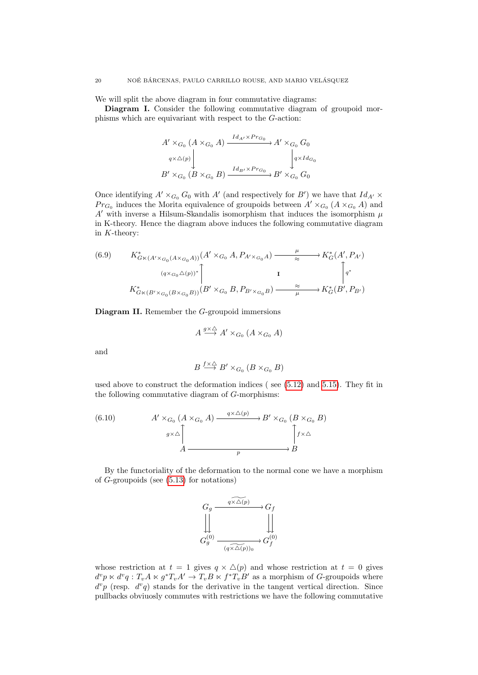We will split the above diagram in four commutative diagrams:

Diagram I. Consider the following commutative diagram of groupoid morphisms which are equivariant with respect to the G-action:

$$
A' \times_{G_0} (A \times_{G_0} A) \xrightarrow{Id_{A'} \times Pr_{G_0}} A' \times_{G_0} G_0
$$
  
\n
$$
q \times \triangle(p)
$$
\n
$$
B' \times_{G_0} (B \times_{G_0} B) \xrightarrow{Id_{B'} \times Pr_{G_0}} B' \times_{G_0} G_0
$$

Once identifying  $A' \times_{G_0} G_0$  with  $A'$  (and respectively for  $B'$ ) we have that  $Id_{A'} \times$  $Pr_{G_0}$  induces the Morita equivalence of groupoids between  $A' \times_{G_0} (A \times_{G_0} A)$  and A' with inverse a Hilsum-Skandalis isomorphism that induces the isomorphism  $\mu$ in K-theory. Hence the diagram above induces the following commutative diagram in  $K$ -theory:

(6.9) 
$$
K_{G \ltimes (A' \times G_0(A \times G_0 A))}^*(A' \times_{G_0} A, P_{A' \times G_0 A}) \xrightarrow{\mu} K_G^*(A', P_{A'})
$$

$$
(q \times G_0 \triangle (p))^* \begin{bmatrix} \mathbf{I} & \mathbf{I} \\ K_{G \ltimes (B' \times G_0(B \times G_0 B))}(B' \times_{G_0} B, P_{B' \times G_0 B}) \xrightarrow{\approx} K_G^*(B', P_{B'}) \end{bmatrix}
$$

Diagram II. Remember the G-groupoid immersions

$$
A \xrightarrow{g \times \triangle} A' \times_{G_0} (A \times_{G_0} A)
$$

and

$$
B \stackrel{f \times \triangle}{\longrightarrow} B' \times_{G_0} (B \times_{G_0} B)
$$

used above to construct the deformation indices ( see [\(5.12\)](#page-15-2) and [5.15\)](#page-16-1). They fit in the following commutative diagram of G-morphisms:

(6.10) 
$$
A' \times_{G_0} (A \times_{G_0} A) \xrightarrow{q \times \triangle (p)} B' \times_{G_0} (B \times_{G_0} B)
$$

$$
g \times \triangle \uparrow A \xrightarrow{p} B
$$

By the functoriality of the deformation to the normal cone we have a morphism of  $G$ -groupoids (see  $(5.13)$  for notations)



whose restriction at  $t = 1$  gives  $q \times \Delta(p)$  and whose restriction at  $t = 0$  gives  $d^vp \ltimes d^vq : T_vA \ltimes g^*T_vA' \to T_vB \ltimes f^*T_vB'$  as a morphism of G-groupoids where  $d^vp$  (resp.  $d^vq$ ) stands for the derivative in the tangent vertical direction. Since pullbacks obviuosly commutes with restrictions we have the following commutative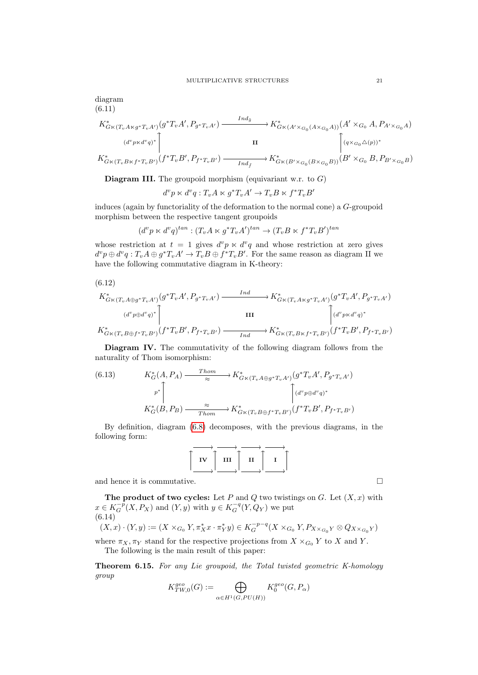diagram (6.11)

$$
K_{G \ltimes (T_v A \ltimes g^* T_v A')}^*(g^* T_v A', P_{g^* T_v A'}) \xrightarrow{Ind_{\tilde{g}}} K_{G \ltimes (A' \times_{G_0} (A \times_{G_0} A))}^*(A' \times_{G_0} A, P_{A' \times_{G_0} A})
$$

$$
(d^v p \ltimes d^v q)^* \Bigg[ \qquad \qquad \text{II}
$$

$$
K_{G \ltimes (T_v B \ltimes f^* T_v B')}^*(f^* T_v B', P_{f^* T_v B'}) \xrightarrow{Ind_{\tilde{f}}} K_{G \ltimes (B' \times_{G_0} (B \times_{G_0} B))}^*(B' \times_{G_0} B, P_{B' \times_{G_0} B})
$$

**Diagram III.** The groupoid morphism (equivariant w.r. to  $G$ )

$$
d^v p \ltimes d^v q : T_v A \ltimes g^* T_v A' \to T_v B \ltimes f^* T_v B'
$$

induces (again by functoriality of the deformation to the normal cone) a G-groupoid morphism between the respective tangent groupoids

$$
(d^vp\ltimes d^vq)^{tan}: (T_vA\ltimes g^*T_vA')^{tan}\to (T_vB\ltimes f^*T_vB')^{tan}
$$

whose restriction at  $t = 1$  gives  $d^v p \times d^v q$  and whose restriction at zero gives  $d^vp \oplus d^vq : T_vA \oplus g^*T_vA' \to T_vB \oplus f^*T_vB'.$  For the same reason as diagram II we have the following commutative diagram in K-theory:

$$
(6.12)
$$

$$
K_{G \ltimes (T_v A \oplus g^* T_v A')}^*(g^* T_v A', P_{g^* T_v A'}) \xrightarrow{\operatorname{Ind}_{G \ltimes (T_v A \ltimes g^* T_v A')}} (g^* T_v A', P_{g^* T_v A'})
$$
  
\n
$$
(d^v p \oplus d^v q)^* \Bigg[ \qquad \qquad \text{III}
$$
\n
$$
K_{G \ltimes (T_v B \oplus f^* T_v B')}^*(f^* T_v B', P_{f^* T_v B'}) \xrightarrow{\operatorname{Ind}_{G \ltimes (T_v B \ltimes f^* T_v B')}} (d^v p \lt d^v q)^*
$$

Diagram IV. The commutativity of the following diagram follows from the naturality of Thom isomorphism:

(6.13) 
$$
K_G^*(A, P_A) \xrightarrow{\text{Thom}} K_{G \ltimes (T_v A \oplus g^*T_v A')}^*(g^*T_v A', P_{g^*T_v A'})
$$
\n
$$
p^* \uparrow \qquad \qquad \downarrow \qquad \qquad \downarrow \qquad \qquad \downarrow \qquad \qquad \downarrow
$$
\n
$$
K_G^*(B, P_B) \xrightarrow{\approx} K_{G \ltimes (T_v B \oplus f^*T_v B')}^*(f^*T_v B', P_{f^*T_v B'})
$$

By definition, diagram [\(6.8\)](#page-18-1) decomposes, with the previous diagrams, in the following form:



and hence it is commutative.

The product of two cycles: Let  $P$  and  $Q$  two twistings on  $G$ . Let  $(X, x)$  with  $x \in K_G^{-p}(X, P_X)$  and  $(Y, y)$  with  $y \in K_G^{-q}(Y, Q_Y)$  we put (6.14)  $(X, x) \cdot (Y, y) := (X \times_{G_0} Y, \pi_X^* x \cdot \pi_Y^* y) \in K_G^{-p-q}(X \times_{G_0} Y, P_{X \times_{G_0} Y} \otimes Q_{X \times_{G_0} Y})$ 

$$
(\Lambda, x) \cdot (I, y) := (\Lambda \times_{G_0} I, \pi_X x \cdot \pi_Y y) \in \Lambda_G \qquad (\Lambda \times_{G_0} I, \pi_X \times_{G_0} Y \otimes QX \times_{G_0} Y)
$$
  
where  $\pi_X, \pi_Y$  stand for the respective projections from  $X \times_{G_0} Y$  to X and Y.

The following is the main result of this paper:

Theorem 6.15. For any Lie groupoid, the Total twisted geometric K-homology group

$$
K^{geo}_{TW,0}(G):=\bigoplus_{\alpha\in H^1(G,PU(H))}K^{geo}_0(G,P_\alpha)
$$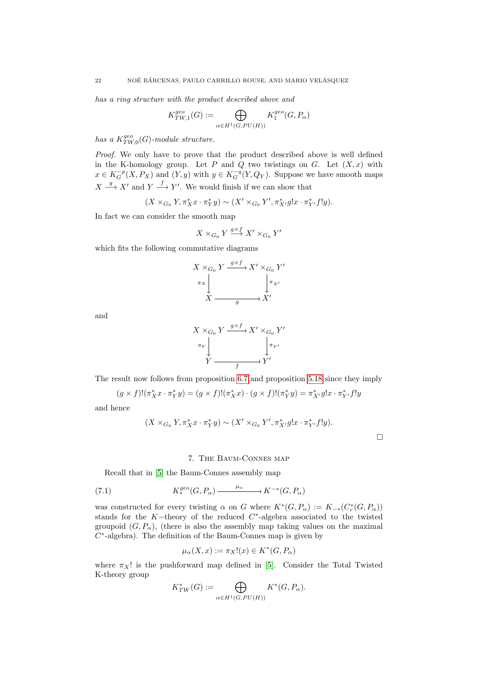has a ring structure with the product described above and

$$
K_{TW,1}^{geo}(G) := \bigoplus_{\alpha \in H^1(G, PU(H))} K_1^{geo}(G, P_{\alpha})
$$

has a  $K_{TW,0}^{geo}(G)$ -module structure.

Proof. We only have to prove that the product described above is well defined in the K-homology group. Let P and Q two twistings on G. Let  $(X, x)$  with  $x \in K_G^{-p}(X, P_X)$  and  $(Y, y)$  with  $y \in K_G^{-q}(Y, Q_Y)$ . Suppose we have smooth maps  $X \stackrel{g}{\longrightarrow} X'$  and  $Y \stackrel{f}{\longrightarrow} Y'$ . We would finish if we can show that

$$
(X \times_{G_0} Y, \pi_X^* x \cdot \pi_Y^* y) \sim (X' \times_{G_0} Y', \pi_{X'}^* g! x \cdot \pi_{Y'}^* f! y).
$$

In fact we can consider the smooth map

$$
X\times_{G_0} Y \stackrel{g\times f}{\longrightarrow} X'\times_{G_0} Y'
$$

which fits the following commutative diagrams



and

$$
X \times_{G_0} Y \xrightarrow{g \times f} X' \times_{G_0} Y'
$$
  
\n
$$
\pi_Y \downarrow \qquad \qquad \downarrow \pi_{Y'}
$$
  
\n
$$
Y \xrightarrow{f} Y'
$$

The result now follows from proposition [6.7](#page-18-0) and proposition [5.18](#page-16-0) since they imply

$$
(g \times f)!(\pi_X^* x \cdot \pi_Y^* y) = (g \times f)!(\pi_X^* x) \cdot (g \times f)!(\pi_Y^* y) = \pi_{X'}^* g! x \cdot \pi_{Y'}^* f! y
$$

and hence

$$
(X\times_{G_0}Y,\pi_X^*x\cdot\pi_Y^*y)\sim(X'\times_{G_0}Y',\pi_{X'}^*g!x\cdot\pi_{Y'}^*f!y).
$$

 $\Box$ 

### 7. The Baum-Connes map

Recall that in [\[5\]](#page-22-0) the Baum-Connes assembly map

(7.1) 
$$
K_*^{geo}(G, P_\alpha) \xrightarrow{\mu_\alpha} K^{-*}(G, P_\alpha)
$$

was constructed for every twisting  $\alpha$  on G where  $K^*(G, P_\alpha) := K_{-*}(C_r^*(G, P_\alpha))$ stands for the K-theory of the reduced  $C^*$ -algebra associated to the twisted groupoid  $(G, P_{\alpha})$ , (there is also the assembly map taking values on the maximal  $C^*$ -algebra). The definition of the Baum-Connes map is given by

$$
\mu_{\alpha}(X,x) := \pi_X!(x) \in K^*(G,P_{\alpha})
$$

where  $\pi_X!$  is the pushforward map defined in [\[5\]](#page-22-0). Consider the Total Twisted K-theory group

$$
K^*_{TW}(G) := \bigoplus_{\alpha \in H^1(G, PU(H))} K^*(G, P_\alpha).
$$